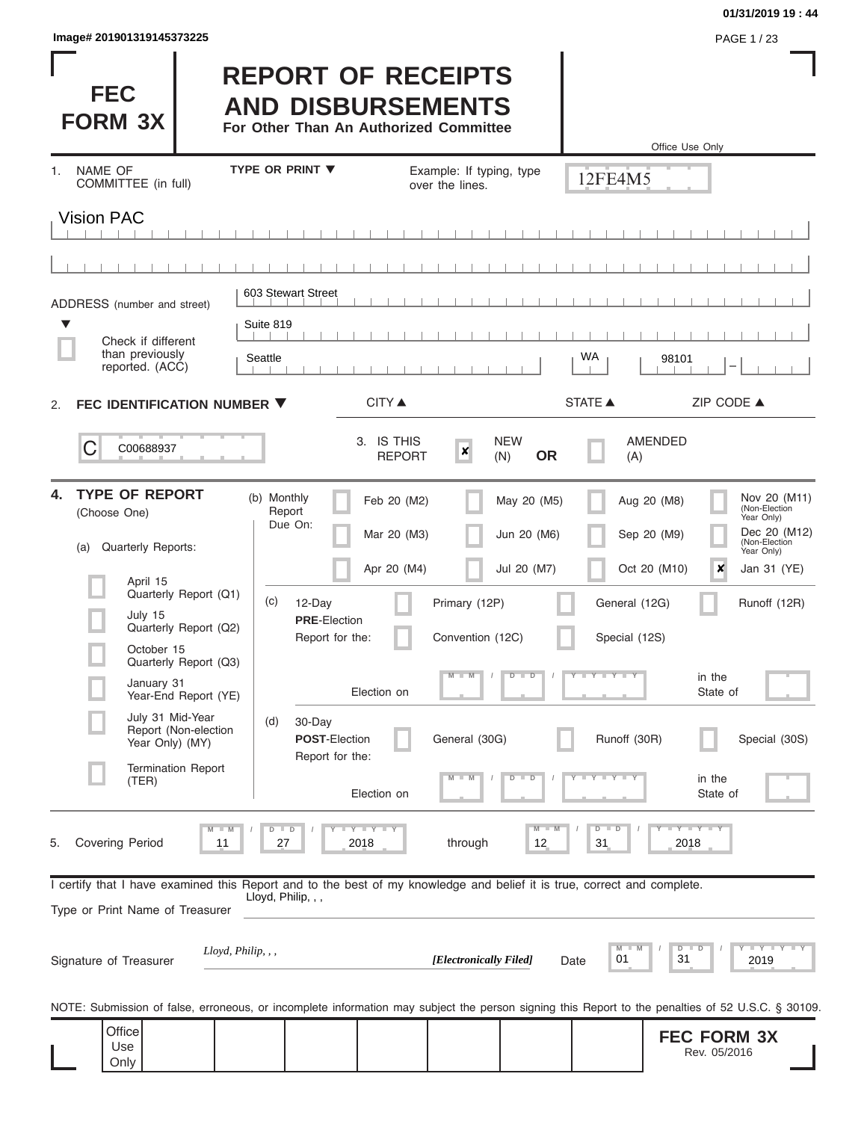| lmage# 201901319145373225 | PAGE 1/23 |
|---------------------------|-----------|
|---------------------------|-----------|

### **01/31/2019 19 : 44**

| <b>FEC</b><br><b>FORM 3X</b>                                                                                                                               | <b>REPORT OF RECEIPTS</b><br><b>AND DISBURSEMENTS</b><br>For Other Than An Authorized Committee |                                             |                                                    |                         | Office Use Only                                                            |
|------------------------------------------------------------------------------------------------------------------------------------------------------------|-------------------------------------------------------------------------------------------------|---------------------------------------------|----------------------------------------------------|-------------------------|----------------------------------------------------------------------------|
| <b>NAME OF</b><br>1.<br>COMMITTEE (in full)                                                                                                                | <b>TYPE OR PRINT ▼</b>                                                                          | over the lines.                             | Example: If typing, type                           | 12FE4M5                 |                                                                            |
| <b>Vision PAC</b>                                                                                                                                          |                                                                                                 |                                             |                                                    |                         |                                                                            |
|                                                                                                                                                            |                                                                                                 |                                             |                                                    |                         |                                                                            |
| ADDRESS (number and street)                                                                                                                                | 603 Stewart Street                                                                              |                                             |                                                    |                         |                                                                            |
| ▼<br>Check if different                                                                                                                                    | Suite 819                                                                                       |                                             |                                                    |                         |                                                                            |
| than previously<br>reported. (ACC)                                                                                                                         | Seattle                                                                                         |                                             |                                                    | WA                      | 98101                                                                      |
| FEC IDENTIFICATION NUMBER ▼<br>2.                                                                                                                          |                                                                                                 | CITY ▲                                      |                                                    | <b>STATE ▲</b>          | ZIP CODE ▲                                                                 |
| C<br>C00688937                                                                                                                                             |                                                                                                 | 3. IS THIS<br><b>REPORT</b>                 | <b>NEW</b><br>$\boldsymbol{x}$<br><b>OR</b><br>(N) | (A)                     | <b>AMENDED</b>                                                             |
| <b>TYPE OF REPORT</b><br>4.<br>(Choose One)                                                                                                                | (b) Monthly<br>Report<br>Due On:                                                                | Feb 20 (M2)                                 | May 20 (M5)                                        |                         | Nov 20 (M11)<br>Aug 20 (M8)<br>(Non-Election<br>Year Only)<br>Dec 20 (M12) |
| Quarterly Reports:<br>(a)                                                                                                                                  |                                                                                                 | Mar 20 (M3)                                 | Jun 20 (M6)                                        |                         | Sep 20 (M9)<br>(Non-Election<br>Year Only)                                 |
| April 15                                                                                                                                                   |                                                                                                 | Apr 20 (M4)                                 | Jul 20 (M7)                                        |                         | Oct 20 (M10)<br>×<br>Jan 31 (YE)                                           |
| Quarterly Report (Q1)<br>July 15                                                                                                                           | (c)<br>12-Day<br><b>PRE-Election</b>                                                            |                                             | Primary (12P)                                      | General (12G)           | Runoff (12R)                                                               |
| Quarterly Report (Q2)<br>October 15                                                                                                                        | Report for the:                                                                                 |                                             | Convention (12C)                                   | Special (12S)           |                                                                            |
| Quarterly Report (Q3)<br>January 31                                                                                                                        |                                                                                                 | Election on                                 | M<br>$D$ $D$                                       | $T - Y = Y - T Y$       | in the<br>State of                                                         |
| Year-End Report (YE)<br>July 31 Mid-Year<br>Report (Non-election                                                                                           | (d)<br>30-Day                                                                                   |                                             |                                                    |                         |                                                                            |
| Year Only) (MY)                                                                                                                                            | <b>POST-Election</b><br>Report for the:                                                         |                                             | General (30G)                                      | Runoff (30R)            | Special (30S)                                                              |
| <b>Termination Report</b><br>(TER)                                                                                                                         |                                                                                                 | Election on                                 | $-W$<br>$D$ $D$                                    | $T - Y = T - Y = T - Y$ | in the<br>State of                                                         |
| $\blacksquare$ M<br><b>Covering Period</b><br>5.<br>11                                                                                                     | $D$ $D$<br>27                                                                                   | $T$ $T$ $T$ $T$ $T$ $T$ $T$ $T$ $T$<br>2018 | $M - M$<br>through<br>12                           | $D$ $D$<br>31           | $Y - Y - Y - Y - Y$<br>2018                                                |
| I certify that I have examined this Report and to the best of my knowledge and belief it is true, correct and complete.<br>Type or Print Name of Treasurer | Lloyd, Philip, , ,                                                                              |                                             |                                                    |                         |                                                                            |
| Lloyd, Philip, , ,<br>Signature of Treasurer                                                                                                               |                                                                                                 |                                             | [Electronically Filed]                             | M<br>M<br>01<br>Date    | Y I Y I Y I Y<br>D<br>D<br>31<br>2019                                      |
| NOTE: Submission of false, erroneous, or incomplete information may subject the person signing this Report to the penalties of 52 U.S.C. § 30109.          |                                                                                                 |                                             |                                                    |                         |                                                                            |
| Office<br>Use<br>Only                                                                                                                                      |                                                                                                 |                                             |                                                    |                         | <b>FEC FORM 3X</b><br>Rev. 05/2016                                         |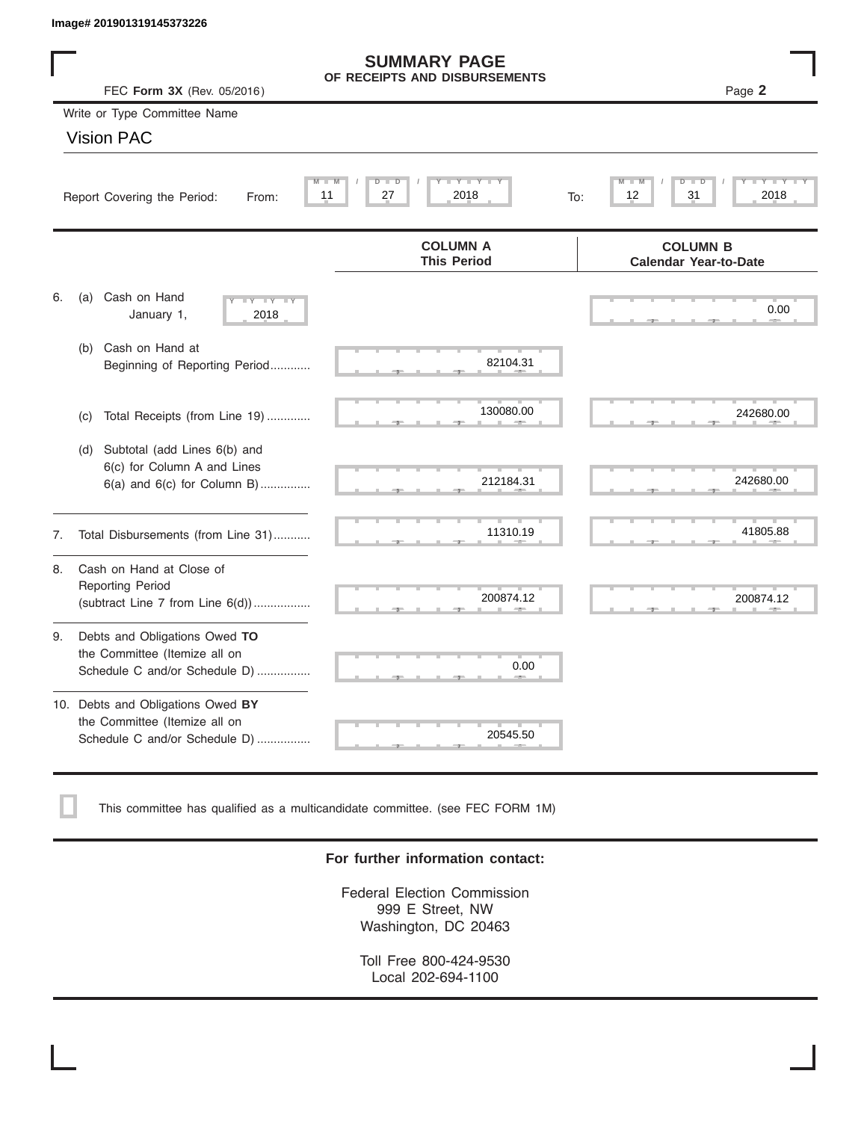|    | Image# 201901319145373226                                                                           |                                                      |                                                 |
|----|-----------------------------------------------------------------------------------------------------|------------------------------------------------------|-------------------------------------------------|
|    | FEC Form 3X (Rev. 05/2016)                                                                          | <b>SUMMARY PAGE</b><br>OF RECEIPTS AND DISBURSEMENTS | Page 2                                          |
|    | Write or Type Committee Name                                                                        |                                                      |                                                 |
|    | <b>Vision PAC</b>                                                                                   |                                                      |                                                 |
|    | Report Covering the Period:<br>From:                                                                | Y I Y I<br>$D$ $\Box$<br>D<br>27<br>2018<br>11       | D<br>31<br>2018<br>12<br>To:                    |
|    |                                                                                                     | <b>COLUMN A</b><br><b>This Period</b>                | <b>COLUMN B</b><br><b>Calendar Year-to-Date</b> |
| 6. | Cash on Hand<br>(a)<br>$-Y - Y - Y$<br>January 1,<br>2018                                           |                                                      | 0.00                                            |
|    | Cash on Hand at<br>(b)<br>Beginning of Reporting Period                                             | 82104.31                                             |                                                 |
|    | Total Receipts (from Line 19)<br>(c)                                                                | 130080.00                                            | 242680.00                                       |
|    | Subtotal (add Lines 6(b) and<br>(d)<br>6(c) for Column A and Lines<br>6(a) and 6(c) for Column B)   | 212184.31                                            | 242680.00                                       |
| 7. | Total Disbursements (from Line 31)                                                                  | 11310.19                                             | 41805.88                                        |
| 8. | Cash on Hand at Close of<br><b>Reporting Period</b><br>(subtract Line $7$ from Line $6(d)$ )        | 200874.12                                            | 200874.12                                       |
| 9. | Debts and Obligations Owed TO<br>the Committee (Itemize all on<br>Schedule C and/or Schedule D)     | 0.00                                                 |                                                 |
|    | 10. Debts and Obligations Owed BY<br>the Committee (Itemize all on<br>Schedule C and/or Schedule D) | Turni<br>20545.50                                    |                                                 |

This committee has qualified as a multicandidate committee. (see FEC FORM 1M)

### **For further information contact:**

Federal Election Commission 999 E Street, NW Washington, DC 20463

Toll Free 800-424-9530 Local 202-694-1100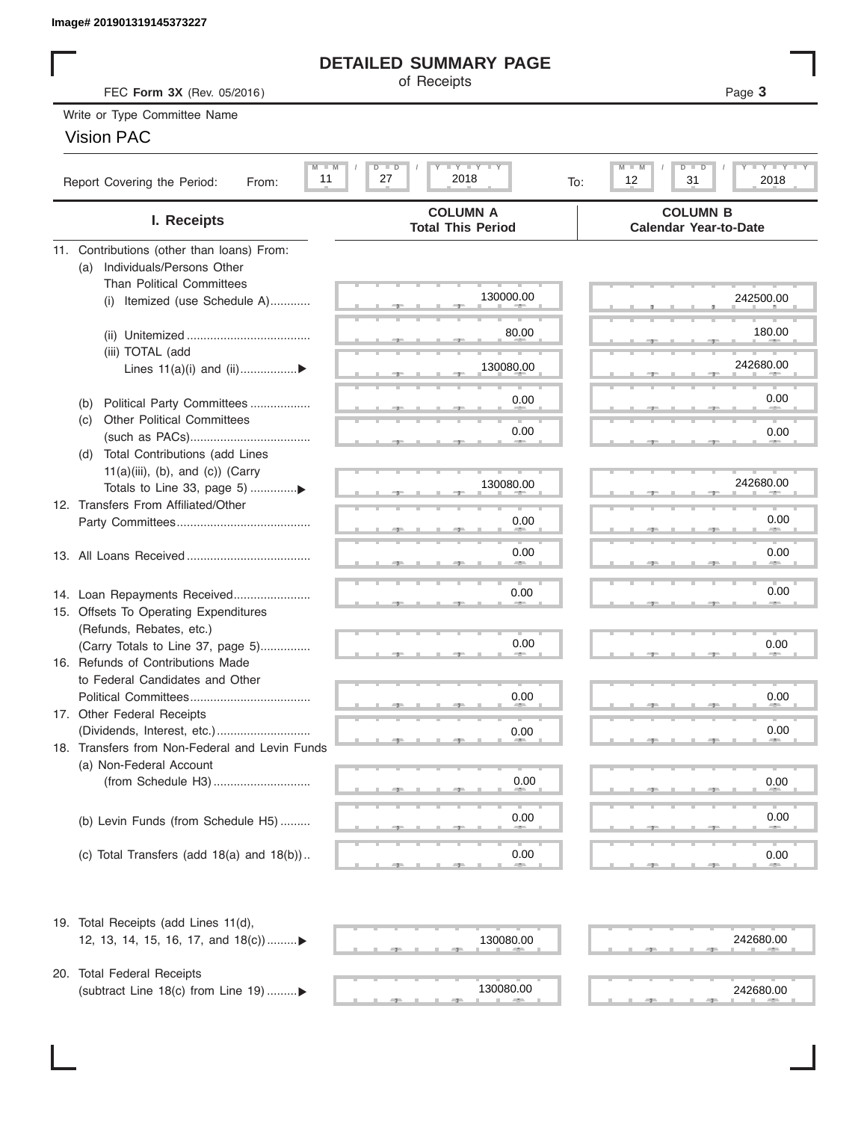## **DETAILED SUMMARY PAGE**

### Vision PAC

|                                                     | Image# 201901319145373227                             |                                                                 |                                                                          |  |  |  |  |  |
|-----------------------------------------------------|-------------------------------------------------------|-----------------------------------------------------------------|--------------------------------------------------------------------------|--|--|--|--|--|
|                                                     |                                                       | <b>DETAILED SUMMARY PAGE</b>                                    |                                                                          |  |  |  |  |  |
| of Receipts<br>Page 3<br>FEC Form 3X (Rev. 05/2016) |                                                       |                                                                 |                                                                          |  |  |  |  |  |
|                                                     | Write or Type Committee Name                          |                                                                 |                                                                          |  |  |  |  |  |
|                                                     | <b>Vision PAC</b>                                     |                                                                 |                                                                          |  |  |  |  |  |
|                                                     |                                                       |                                                                 | D                                                                        |  |  |  |  |  |
|                                                     | $M - M$<br>11<br>Report Covering the Period:<br>From: | $I - Y - I - Y - I - Y$<br>$D$ $\Box$<br>D<br>27<br>2018<br>To: | $I - Y - I - Y - I - Y$<br>$M - M$<br>$\overline{D}$<br>12<br>31<br>2018 |  |  |  |  |  |
|                                                     | I. Receipts                                           | <b>COLUMN A</b><br><b>Total This Period</b>                     | <b>COLUMN B</b><br><b>Calendar Year-to-Date</b>                          |  |  |  |  |  |
|                                                     | 11. Contributions (other than loans) From:            |                                                                 |                                                                          |  |  |  |  |  |
|                                                     | Individuals/Persons Other<br>(a)                      |                                                                 |                                                                          |  |  |  |  |  |
|                                                     | <b>Than Political Committees</b>                      | 130000.00                                                       | 242500.00                                                                |  |  |  |  |  |
|                                                     | Itemized (use Schedule A)<br>(i)                      |                                                                 |                                                                          |  |  |  |  |  |
|                                                     |                                                       | 80.00                                                           | 180.00                                                                   |  |  |  |  |  |
|                                                     | (iii) TOTAL (add                                      |                                                                 |                                                                          |  |  |  |  |  |
|                                                     | Lines $11(a)(i)$ and $(ii)$                           | 130080.00                                                       | 242680.00                                                                |  |  |  |  |  |
|                                                     |                                                       |                                                                 |                                                                          |  |  |  |  |  |
|                                                     | Political Party Committees<br>(b)                     | 0.00                                                            | 0.00                                                                     |  |  |  |  |  |
|                                                     | <b>Other Political Committees</b><br>(C)              |                                                                 |                                                                          |  |  |  |  |  |
|                                                     |                                                       | 0.00                                                            | 0.00                                                                     |  |  |  |  |  |
|                                                     | Total Contributions (add Lines<br>(d)                 |                                                                 |                                                                          |  |  |  |  |  |
|                                                     | $11(a)(iii)$ , (b), and (c)) (Carry                   | 130080.00                                                       | 242680.00                                                                |  |  |  |  |  |
|                                                     |                                                       |                                                                 |                                                                          |  |  |  |  |  |
|                                                     | 12. Transfers From Affiliated/Other                   | 0.00                                                            | 0.00                                                                     |  |  |  |  |  |
|                                                     |                                                       |                                                                 |                                                                          |  |  |  |  |  |
|                                                     |                                                       | 0.00                                                            | 0.00                                                                     |  |  |  |  |  |
|                                                     |                                                       |                                                                 |                                                                          |  |  |  |  |  |
|                                                     | 14. Loan Repayments Received                          | 0.00                                                            | 0.00                                                                     |  |  |  |  |  |
|                                                     | 15. Offsets To Operating Expenditures                 |                                                                 |                                                                          |  |  |  |  |  |
|                                                     | (Refunds, Rebates, etc.)                              |                                                                 |                                                                          |  |  |  |  |  |
|                                                     | (Carry Totals to Line 37, page 5)                     | 0.00                                                            | 0.00                                                                     |  |  |  |  |  |
|                                                     | 16. Refunds of Contributions Made                     |                                                                 |                                                                          |  |  |  |  |  |
|                                                     | to Federal Candidates and Other                       |                                                                 |                                                                          |  |  |  |  |  |
|                                                     | Political Committees                                  | 0.00                                                            | 0.00                                                                     |  |  |  |  |  |
|                                                     | 17. Other Federal Receipts                            |                                                                 |                                                                          |  |  |  |  |  |
|                                                     |                                                       | 0.00                                                            | 0.00                                                                     |  |  |  |  |  |
|                                                     | 18. Transfers from Non-Federal and Levin Funds        |                                                                 |                                                                          |  |  |  |  |  |
|                                                     | (a) Non-Federal Account                               | 0.00                                                            | 0.00                                                                     |  |  |  |  |  |
|                                                     |                                                       |                                                                 |                                                                          |  |  |  |  |  |
|                                                     |                                                       | 0.00                                                            | 0.00                                                                     |  |  |  |  |  |
|                                                     | (b) Levin Funds (from Schedule H5)                    |                                                                 |                                                                          |  |  |  |  |  |
|                                                     | (c) Total Transfers (add $18(a)$ and $18(b)$ )        | 0.00                                                            | 0.00                                                                     |  |  |  |  |  |
|                                                     |                                                       |                                                                 |                                                                          |  |  |  |  |  |
|                                                     | 19. Total Receipts (add Lines 11(d),                  |                                                                 |                                                                          |  |  |  |  |  |
|                                                     | 12, 13, 14, 15, 16, 17, and 18(c))▶                   | 130080.00                                                       | 242680.00                                                                |  |  |  |  |  |
|                                                     |                                                       |                                                                 |                                                                          |  |  |  |  |  |
|                                                     | 20. Total Federal Receipts                            |                                                                 |                                                                          |  |  |  |  |  |
|                                                     | (subtract Line 18(c) from Line 19) ▶                  | 130080.00                                                       | 242680.00                                                                |  |  |  |  |  |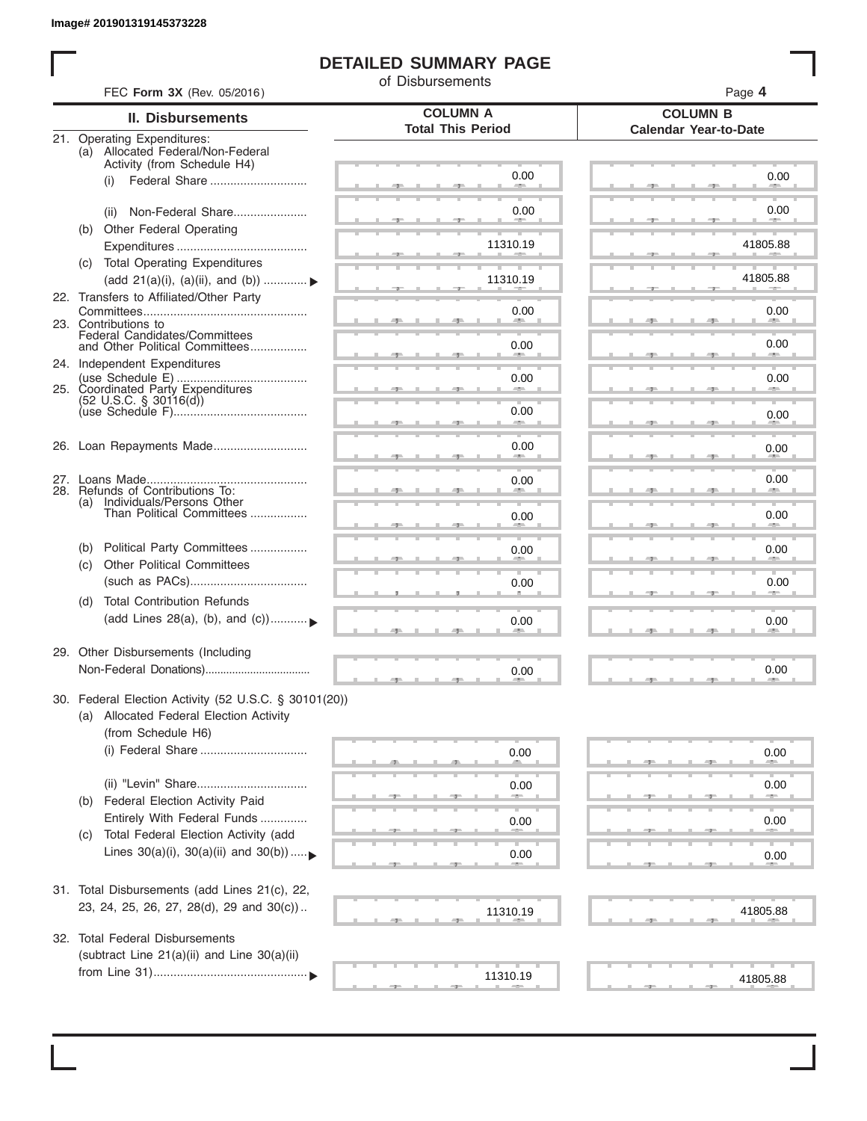I

## **DETAILED SUMMARY PAGE**

of Disbursements

| FEC Form 3X (Rev. 05/2016)                                                                      |                                             | Page 4<br><b>COLUMN B</b>    |  |  |  |  |
|-------------------------------------------------------------------------------------------------|---------------------------------------------|------------------------------|--|--|--|--|
| II. Disbursements                                                                               | <b>COLUMN A</b><br><b>Total This Period</b> |                              |  |  |  |  |
| 21. Operating Expenditures:<br>(a) Allocated Federal/Non-Federal<br>Activity (from Schedule H4) |                                             | <b>Calendar Year-to-Date</b> |  |  |  |  |
| (i)                                                                                             | 0.00                                        | 0.00                         |  |  |  |  |
| Non-Federal Share<br>(ii)                                                                       | 0.00                                        | 0.00                         |  |  |  |  |
| (b) Other Federal Operating                                                                     | 11310.19                                    | 41805.88                     |  |  |  |  |
| (c) Total Operating Expenditures<br>(add 21(a)(i), (a)(ii), and (b))                            | 11310.19                                    | 41805.88                     |  |  |  |  |
| 22. Transfers to Affiliated/Other Party                                                         | 0.00                                        | 0.00                         |  |  |  |  |
| 23. Contributions to<br>Federal Candidates/Committees<br>and Other Political Committees         | 0.00                                        | <b>All Contracts</b><br>0.00 |  |  |  |  |
| 24. Independent Expenditures                                                                    |                                             |                              |  |  |  |  |
| 25. Coordinated Party Expenditures<br>$(52 \text{ U.S.C. }$ § 30116(d))                         | 0.00                                        | 0.00                         |  |  |  |  |
|                                                                                                 | 0.00<br>and the contract of                 | 0.00                         |  |  |  |  |
| 26. Loan Repayments Made                                                                        | 0.00                                        | 0.00                         |  |  |  |  |
| 28. Refunds of Contributions To:                                                                | 0.00                                        | 0.00                         |  |  |  |  |
| (a) Individuals/Persons Other<br>Than Political Committees                                      | 0.00                                        | 0.00                         |  |  |  |  |
| Political Party Committees<br>(b)<br><b>Other Political Committees</b>                          | 0.00                                        | 0.00                         |  |  |  |  |
| (c)                                                                                             | 0.00                                        | 0.00                         |  |  |  |  |
| <b>Total Contribution Refunds</b><br>(d)<br>(add Lines 28(a), (b), and (c))                     | 0.00                                        | 0.00                         |  |  |  |  |
| 29. Other Disbursements (Including                                                              | 0.00                                        | 0.00                         |  |  |  |  |
| 30. Federal Election Activity (52 U.S.C. § 30101(20))                                           |                                             |                              |  |  |  |  |
| (a) Allocated Federal Election Activity<br>(from Schedule H6)                                   |                                             |                              |  |  |  |  |
|                                                                                                 | 0.00                                        | 0.00                         |  |  |  |  |
|                                                                                                 | 0.00                                        | 0.00                         |  |  |  |  |
| Federal Election Activity Paid<br>(b)<br>Entirely With Federal Funds                            | 0.00                                        | 0.00                         |  |  |  |  |
| Total Federal Election Activity (add<br>(C)<br>Lines $30(a)(i)$ , $30(a)(ii)$ and $30(b))$      | 0.00                                        | 0.00                         |  |  |  |  |
|                                                                                                 |                                             |                              |  |  |  |  |
| 31. Total Disbursements (add Lines 21(c), 22,<br>23, 24, 25, 26, 27, 28(d), 29 and 30(c))       | 11310.19                                    | 41805.88                     |  |  |  |  |
| 32. Total Federal Disbursements                                                                 |                                             |                              |  |  |  |  |
| (subtract Line 21(a)(ii) and Line 30(a)(ii)                                                     | 11310.19                                    | 41805.88                     |  |  |  |  |
|                                                                                                 |                                             |                              |  |  |  |  |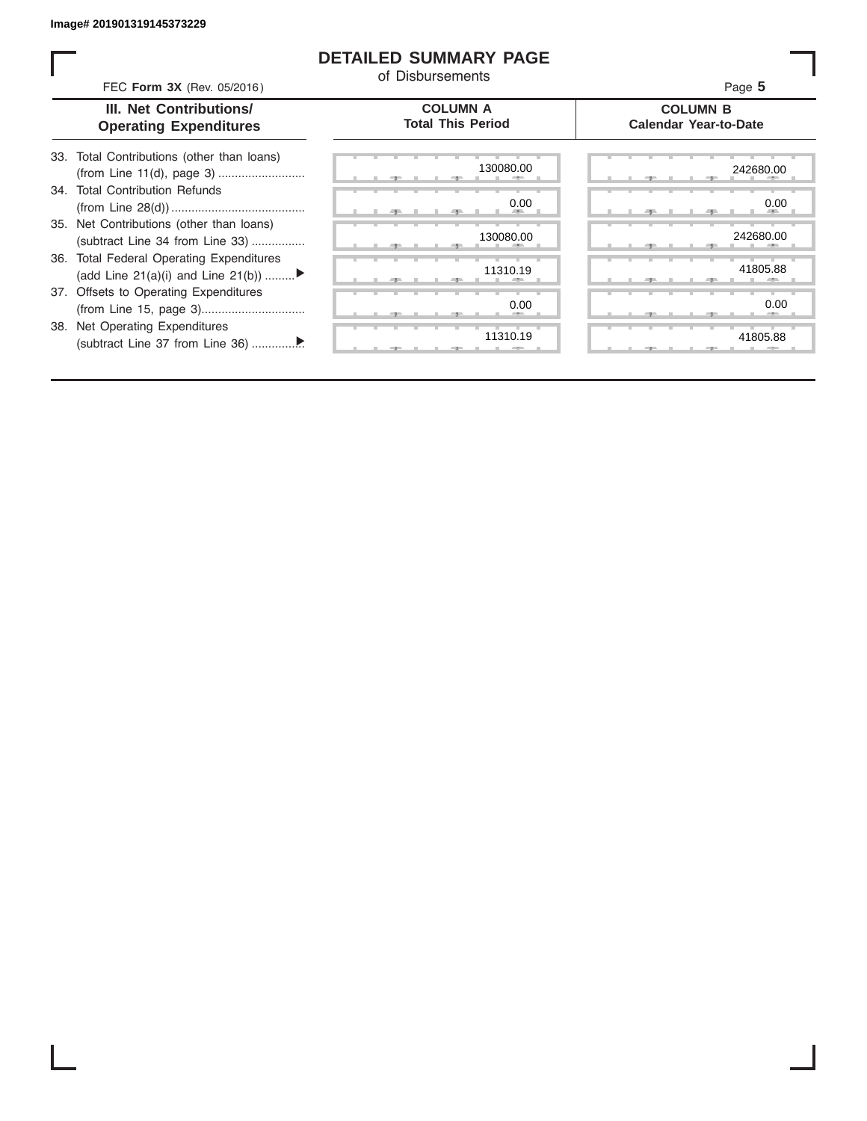### **DETAILED SUMMARY PAGE**

of Disbursements

FEC **Form 3X** (Rev. 05/2016) Page **5**

| III. Net Contributions/       |
|-------------------------------|
| <b>Operating Expenditures</b> |

**COLUMN A Total This Period**

#### **COLUMN B Calendar Year-to-Date**

| 33. Total Contributions (other than loans) |
|--------------------------------------------|
|                                            |
| 34. Total Contribution Refunds             |
|                                            |
| 35. Net Contributions (other than loans)   |
| (subtract Line 34 from Line 33)            |
| 36. Total Federal Operating Expenditures   |
| (add Line 21(a)(i) and Line 21(b))         |
| 37. Offsets to Operating Expenditures      |
|                                            |
| 38. Net Operating Expenditures             |

(subtract Line 37 from Line 36) ................ ▼

|   | 130080.00     | $7-$ |    | ヮ      |  |
|---|---------------|------|----|--------|--|
|   | 0.00          |      |    |        |  |
|   | --<br>٠       | 49   | н. | -91    |  |
|   | 130080.00     |      |    |        |  |
|   |               | 51   |    | 51     |  |
|   | 11310.19      |      |    |        |  |
|   |               | 51   |    | 7<br>m |  |
|   | 0.00          |      |    |        |  |
|   |               | ラー   |    | æ      |  |
| т | т<br>11310.19 |      | т  |        |  |
|   |               | -7   |    | - 7    |  |

|  |  | 130080.00                    |  |  |  | 242680.00            |
|--|--|------------------------------|--|--|--|----------------------|
|  |  | 0.00<br><b>All Contracts</b> |  |  |  | 0.00<br><b>Allen</b> |
|  |  | 130080.00                    |  |  |  | 242680.00            |
|  |  |                              |  |  |  |                      |
|  |  | 11310.19<br>٠                |  |  |  | 41805.88             |
|  |  | 0.00<br>۰                    |  |  |  | 0.00                 |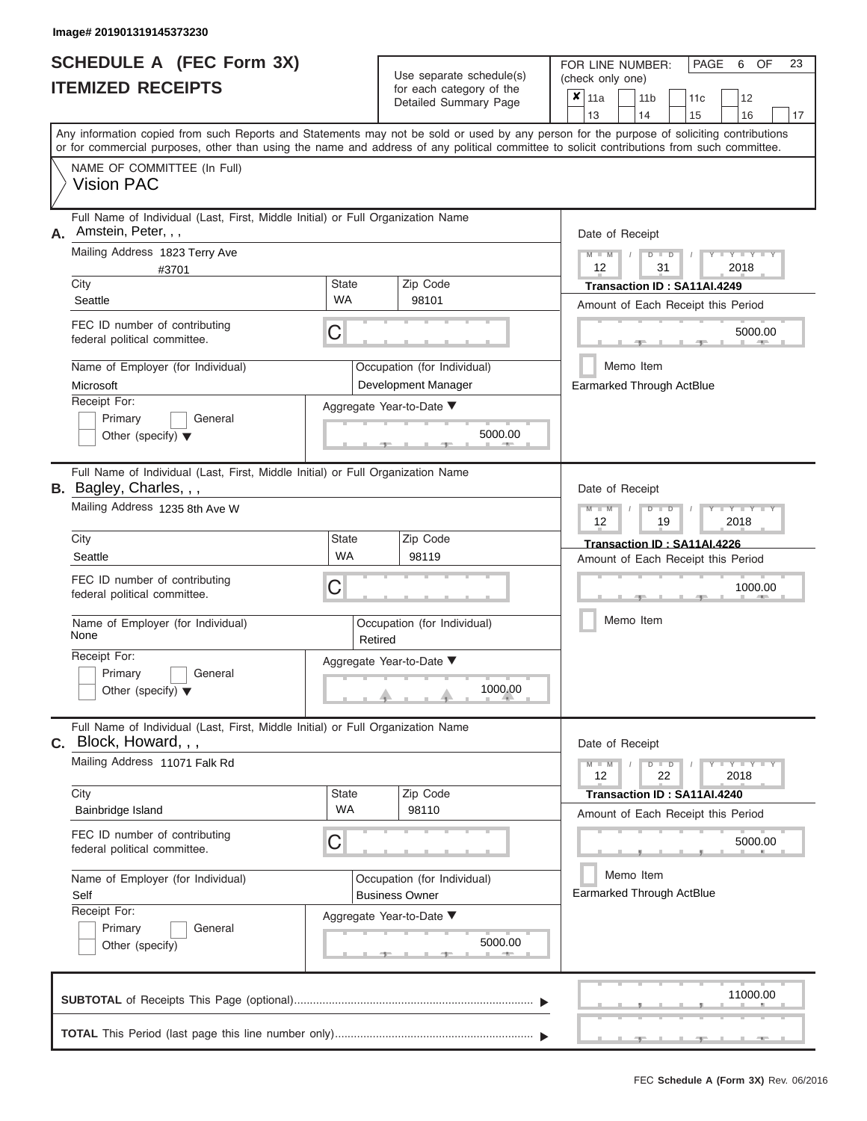$Use$  separate schedule(s)

FOR LINE NUMBER:

PAGE 6 OF 23

|    | <b>ITEMIZED RECEIPTS</b>                                                                                                                                                                                                                                                                |                    | Ose separate surreguels)<br>for each category of the<br>Detailed Summary Page | (check only one)<br>$\boldsymbol{x}$<br>11a<br>11 <sub>b</sub><br>12<br>11c<br>13<br>14<br>15<br>16<br>17 |
|----|-----------------------------------------------------------------------------------------------------------------------------------------------------------------------------------------------------------------------------------------------------------------------------------------|--------------------|-------------------------------------------------------------------------------|-----------------------------------------------------------------------------------------------------------|
|    | Any information copied from such Reports and Statements may not be sold or used by any person for the purpose of soliciting contributions<br>or for commercial purposes, other than using the name and address of any political committee to solicit contributions from such committee. |                    |                                                                               |                                                                                                           |
|    | NAME OF COMMITTEE (In Full)<br><b>Vision PAC</b>                                                                                                                                                                                                                                        |                    |                                                                               |                                                                                                           |
| А. | Full Name of Individual (Last, First, Middle Initial) or Full Organization Name<br>Amstein, Peter, , ,<br>Mailing Address 1823 Terry Ave<br>#3701                                                                                                                                       | State              |                                                                               | Date of Receipt<br>$M - M$<br>$D$ $D$<br>2018<br>12<br>31                                                 |
|    | City<br>Seattle                                                                                                                                                                                                                                                                         | WA                 | Zip Code<br>98101                                                             | Transaction ID: SA11AI.4249                                                                               |
|    | FEC ID number of contributing<br>federal political committee.                                                                                                                                                                                                                           | С                  |                                                                               | Amount of Each Receipt this Period<br>5000.00                                                             |
|    | Name of Employer (for Individual)                                                                                                                                                                                                                                                       |                    | Occupation (for Individual)                                                   | Memo Item                                                                                                 |
|    | Microsoft                                                                                                                                                                                                                                                                               |                    | Development Manager                                                           | Earmarked Through ActBlue                                                                                 |
|    | Receipt For:<br>Primary<br>General<br>Other (specify) $\blacktriangledown$                                                                                                                                                                                                              |                    | Aggregate Year-to-Date ▼<br>5000.00                                           |                                                                                                           |
|    | Full Name of Individual (Last, First, Middle Initial) or Full Organization Name<br>B. Bagley, Charles, , ,                                                                                                                                                                              |                    |                                                                               | Date of Receipt                                                                                           |
|    | Mailing Address 1235 8th Ave W                                                                                                                                                                                                                                                          |                    |                                                                               | $M - M$<br>$D$ $D$<br>$\overline{\phantom{a}}$ $\overline{\phantom{a}}$<br>12<br>2018<br>19               |
|    | City                                                                                                                                                                                                                                                                                    | <b>State</b>       | Zip Code                                                                      | Transaction ID: SA11AI.4226                                                                               |
|    | Seattle                                                                                                                                                                                                                                                                                 | <b>WA</b>          | 98119                                                                         | Amount of Each Receipt this Period                                                                        |
|    | FEC ID number of contributing<br>federal political committee.                                                                                                                                                                                                                           | С                  |                                                                               | 1000.00                                                                                                   |
|    | Name of Employer (for Individual)<br>None                                                                                                                                                                                                                                               | Retired            | Occupation (for Individual)                                                   | Memo Item                                                                                                 |
|    | Receipt For:<br>Primary<br>General<br>Other (specify) $\blacktriangledown$                                                                                                                                                                                                              |                    | Aggregate Year-to-Date ▼<br>1000.00                                           |                                                                                                           |
| C. | Full Name of Individual (Last, First, Middle Initial) or Full Organization Name<br>Block, Howard, , ,                                                                                                                                                                                   |                    |                                                                               | Date of Receipt                                                                                           |
|    | Mailing Address 11071 Falk Rd                                                                                                                                                                                                                                                           |                    |                                                                               | $-Y - Y - Y - Y$<br>$M - M$<br>$D$ $D$<br>12<br>22<br>2018                                                |
|    | City<br>Bainbridge Island                                                                                                                                                                                                                                                               | <b>State</b><br>WA | Zip Code<br>98110                                                             | Transaction ID: SA11AI.4240                                                                               |
|    |                                                                                                                                                                                                                                                                                         |                    |                                                                               | Amount of Each Receipt this Period                                                                        |
|    | FEC ID number of contributing<br>federal political committee.                                                                                                                                                                                                                           | С                  |                                                                               | 5000.00                                                                                                   |
|    | Name of Employer (for Individual)                                                                                                                                                                                                                                                       |                    | Occupation (for Individual)                                                   | Memo Item                                                                                                 |
|    | Self                                                                                                                                                                                                                                                                                    |                    | <b>Business Owner</b>                                                         | Earmarked Through ActBlue                                                                                 |
|    | Receipt For:<br>Primary<br>General<br>Other (specify)                                                                                                                                                                                                                                   |                    | Aggregate Year-to-Date ▼<br>5000.00                                           |                                                                                                           |
|    |                                                                                                                                                                                                                                                                                         |                    |                                                                               | 11000.00                                                                                                  |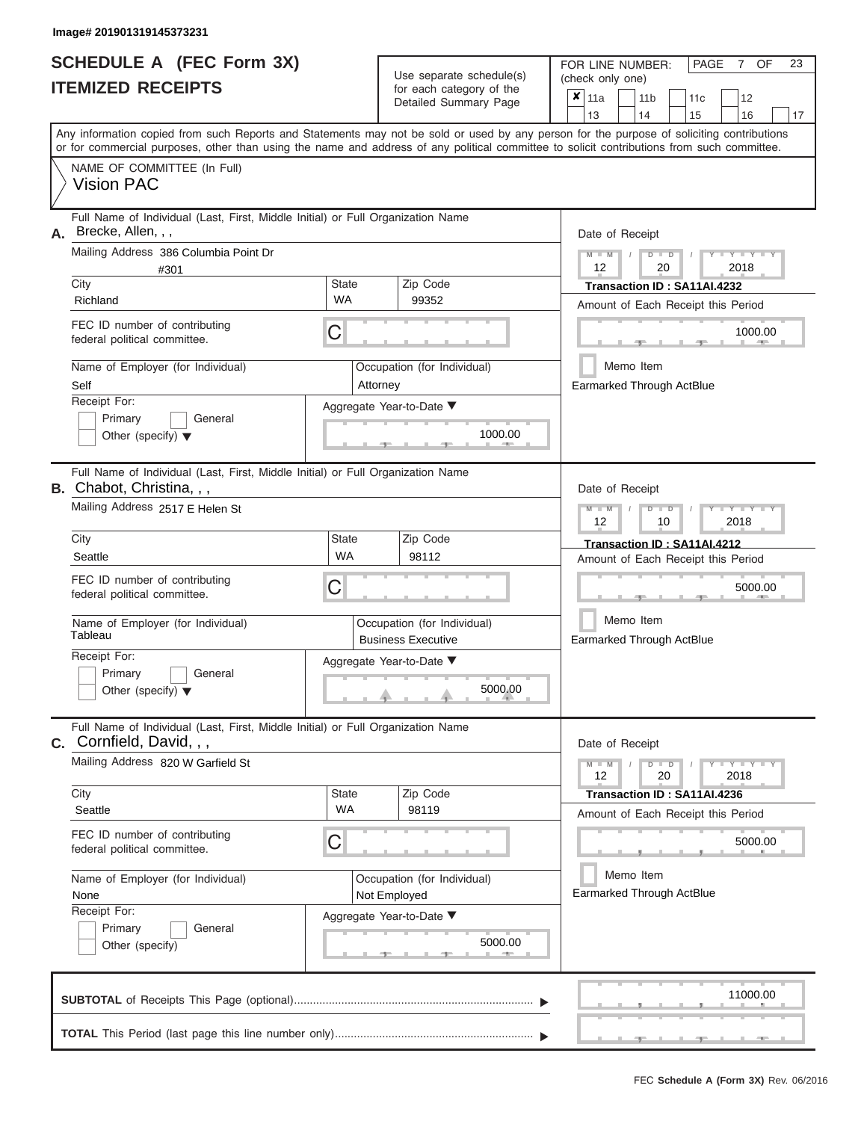$\overline{1}$ 

| SCHEDULE A (FEC Form 3X)<br><b>ITEMIZED RECEIPTS</b>                                                                                                                                                                                                                                                                   |                           | Use separate schedule(s)<br>for each category of the     | FOR LINE NUMBER:<br>PAGE<br>OF<br>23<br>$7\phantom{.}$<br>(check only one) |
|------------------------------------------------------------------------------------------------------------------------------------------------------------------------------------------------------------------------------------------------------------------------------------------------------------------------|---------------------------|----------------------------------------------------------|----------------------------------------------------------------------------|
|                                                                                                                                                                                                                                                                                                                        |                           | Detailed Summary Page                                    | ×<br>11a<br>11 <sub>b</sub><br>11c<br>12<br>13<br>14<br>16<br>15<br>17     |
| Any information copied from such Reports and Statements may not be sold or used by any person for the purpose of soliciting contributions<br>or for commercial purposes, other than using the name and address of any political committee to solicit contributions from such committee.<br>NAME OF COMMITTEE (In Full) |                           |                                                          |                                                                            |
| <b>Vision PAC</b>                                                                                                                                                                                                                                                                                                      |                           |                                                          |                                                                            |
| Full Name of Individual (Last, First, Middle Initial) or Full Organization Name<br>Brecke, Allen, , ,<br>А.                                                                                                                                                                                                            |                           |                                                          | Date of Receipt                                                            |
| Mailing Address 386 Columbia Point Dr<br>#301<br>City                                                                                                                                                                                                                                                                  | <b>State</b>              | Zip Code                                                 | $M - M$<br>$Y = Y =$<br>$D$ $D$<br>12<br>20<br>2018                        |
| Richland                                                                                                                                                                                                                                                                                                               | <b>WA</b>                 | 99352                                                    | Transaction ID: SA11AI.4232<br>Amount of Each Receipt this Period          |
| FEC ID number of contributing<br>federal political committee.                                                                                                                                                                                                                                                          | C                         |                                                          | 1000.00                                                                    |
| Name of Employer (for Individual)<br>Self                                                                                                                                                                                                                                                                              |                           | Occupation (for Individual)<br>Attorney                  | Memo Item<br><b>Earmarked Through ActBlue</b>                              |
| Receipt For:<br>Primary<br>General<br>Other (specify) $\blacktriangledown$                                                                                                                                                                                                                                             |                           | Aggregate Year-to-Date ▼<br>1000.00                      |                                                                            |
| Full Name of Individual (Last, First, Middle Initial) or Full Organization Name<br>B. Chabot, Christina, , ,                                                                                                                                                                                                           |                           |                                                          | Date of Receipt                                                            |
| Mailing Address 2517 E Helen St                                                                                                                                                                                                                                                                                        |                           |                                                          | $M - M$<br>Y TYT<br>$D$ $D$<br>12<br>10<br>2018                            |
| City<br>Seattle                                                                                                                                                                                                                                                                                                        | <b>State</b><br><b>WA</b> | Zip Code<br>98112                                        | Transaction ID: SA11AI.4212<br>Amount of Each Receipt this Period          |
| FEC ID number of contributing<br>federal political committee.                                                                                                                                                                                                                                                          | C                         |                                                          | 5000.00                                                                    |
| Name of Employer (for Individual)<br>Tableau                                                                                                                                                                                                                                                                           |                           | Occupation (for Individual)<br><b>Business Executive</b> | Memo Item<br>Earmarked Through ActBlue                                     |
| Receipt For:<br>Primary<br>General<br>Other (specify) $\blacktriangledown$                                                                                                                                                                                                                                             |                           | Aggregate Year-to-Date ▼<br>5000.00<br><u>. a</u>        |                                                                            |
| Full Name of Individual (Last, First, Middle Initial) or Full Organization Name<br>C. Cornfield, David, , ,                                                                                                                                                                                                            |                           |                                                          | Date of Receipt                                                            |
| Mailing Address 820 W Garfield St                                                                                                                                                                                                                                                                                      |                           |                                                          | $Y - Y - Y - Y - Y$<br>$M - M$<br>$D$ $D$<br>12<br>20<br>2018              |
| City<br>Seattle                                                                                                                                                                                                                                                                                                        | State<br><b>WA</b>        | Zip Code<br>98119                                        | Transaction ID: SA11AI.4236<br>Amount of Each Receipt this Period          |
| FEC ID number of contributing<br>federal political committee.                                                                                                                                                                                                                                                          | С                         |                                                          | 5000.00                                                                    |
| Name of Employer (for Individual)<br>None<br>Receipt For:                                                                                                                                                                                                                                                              |                           | Occupation (for Individual)<br>Not Employed              | Memo Item<br>Earmarked Through ActBlue                                     |
| Primary<br>General<br>Other (specify)                                                                                                                                                                                                                                                                                  |                           | Aggregate Year-to-Date ▼<br>5000.00                      |                                                                            |
|                                                                                                                                                                                                                                                                                                                        |                           |                                                          | 11000.00                                                                   |
|                                                                                                                                                                                                                                                                                                                        |                           |                                                          | __                                                                         |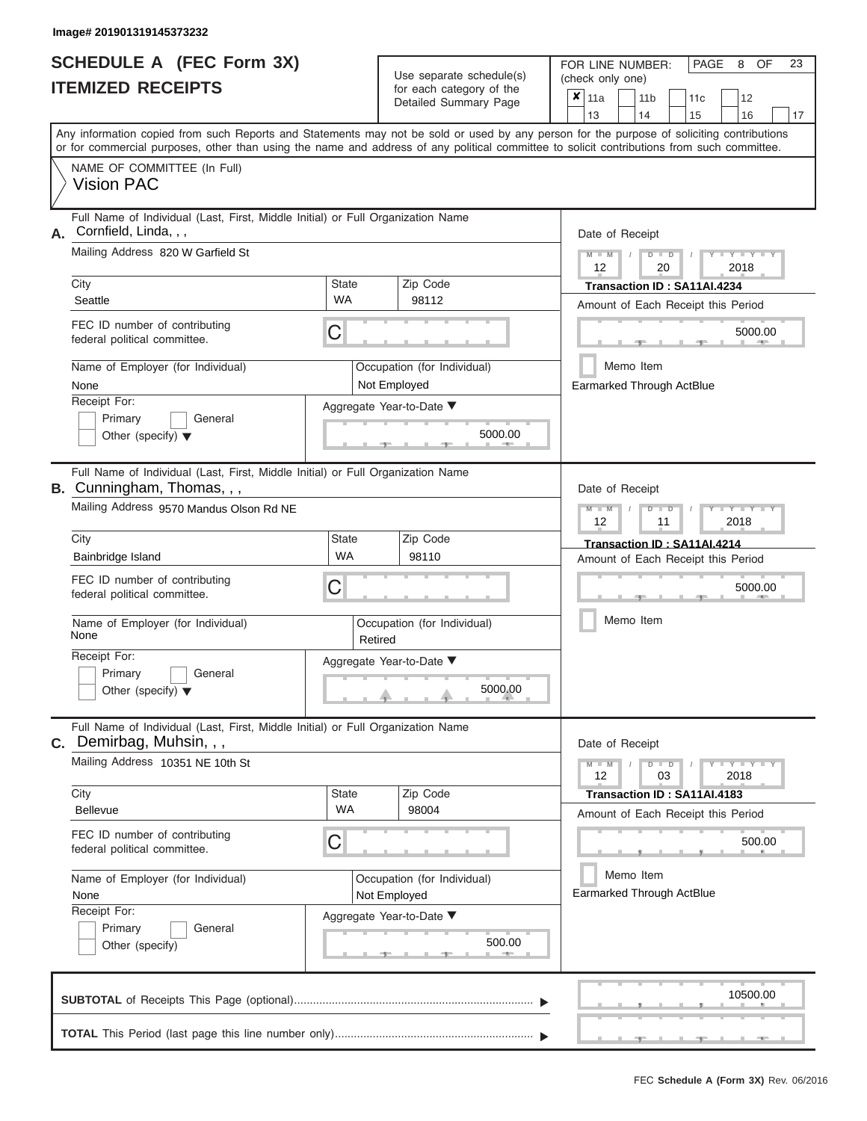|                          | <b>SCHEDULE A (FEC Form 3X)</b> |
|--------------------------|---------------------------------|
| <b>ITEMIZED RECEIPTS</b> |                                 |

Use separate schedule(s) (check only one)<br>for each category of the  $\begin{array}{|c|c|c|c|c|}\hline \textbf{X} & 11a & 1\end{array}$ 

FOR LINE NUMBER:

PAGE 8 OF 23

|    | IIEMIZED RECEIPIS                                                                                                                                                                                                                                                                       |                                        |                                                                                  | for each category of the<br>Detailed Summary Page                                  |                                                                              | ×<br>11a<br>11 <sub>b</sub><br>11c<br>12<br>13<br>14<br>15<br>16<br>17               |  |  |  |  |  |
|----|-----------------------------------------------------------------------------------------------------------------------------------------------------------------------------------------------------------------------------------------------------------------------------------------|----------------------------------------|----------------------------------------------------------------------------------|------------------------------------------------------------------------------------|------------------------------------------------------------------------------|--------------------------------------------------------------------------------------|--|--|--|--|--|
|    | Any information copied from such Reports and Statements may not be sold or used by any person for the purpose of soliciting contributions<br>or for commercial purposes, other than using the name and address of any political committee to solicit contributions from such committee. |                                        |                                                                                  |                                                                                    |                                                                              |                                                                                      |  |  |  |  |  |
|    | NAME OF COMMITTEE (In Full)<br><b>Vision PAC</b>                                                                                                                                                                                                                                        |                                        |                                                                                  |                                                                                    |                                                                              |                                                                                      |  |  |  |  |  |
| А. | Full Name of Individual (Last, First, Middle Initial) or Full Organization Name<br>Cornfield, Linda, , ,<br>Mailing Address 820 W Garfield St                                                                                                                                           |                                        | Date of Receipt<br>$M - M$<br>$Y = Y$<br>D<br>$\overline{D}$<br>2018<br>12<br>20 |                                                                                    |                                                                              |                                                                                      |  |  |  |  |  |
|    | City<br>Seattle                                                                                                                                                                                                                                                                         | <b>State</b><br><b>WA</b>              |                                                                                  | Zip Code<br>98112                                                                  |                                                                              | Transaction ID: SA11AI.4234<br>Amount of Each Receipt this Period                    |  |  |  |  |  |
|    | FEC ID number of contributing<br>federal political committee.                                                                                                                                                                                                                           | С                                      |                                                                                  |                                                                                    |                                                                              | 5000.00                                                                              |  |  |  |  |  |
|    | Name of Employer (for Individual)<br>None<br>Receipt For:<br>Primary<br>General<br>Other (specify) $\blacktriangledown$                                                                                                                                                                 |                                        |                                                                                  | Occupation (for Individual)<br>Not Employed<br>Aggregate Year-to-Date ▼<br>5000.00 | Memo Item<br><b>Earmarked Through ActBlue</b>                                |                                                                                      |  |  |  |  |  |
|    | Full Name of Individual (Last, First, Middle Initial) or Full Organization Name<br><b>B.</b> Cunningham, Thomas, , ,<br>Mailing Address 9570 Mandus Olson Rd NE                                                                                                                         |                                        |                                                                                  |                                                                                    |                                                                              | Date of Receipt<br>Y I Y I<br>D<br>12<br>2018<br>11                                  |  |  |  |  |  |
|    | City<br>Bainbridge Island<br>FEC ID number of contributing<br>federal political committee.                                                                                                                                                                                              | <b>State</b><br><b>WA</b><br>С         |                                                                                  | Zip Code<br>98110                                                                  | Transaction ID: SA11AI.4214<br>Amount of Each Receipt this Period<br>5000.00 |                                                                                      |  |  |  |  |  |
|    | Name of Employer (for Individual)<br>None                                                                                                                                                                                                                                               | Occupation (for Individual)<br>Retired |                                                                                  |                                                                                    |                                                                              | Memo Item                                                                            |  |  |  |  |  |
|    | Receipt For:<br>Primary<br>General<br>Other (specify) $\blacktriangledown$                                                                                                                                                                                                              |                                        |                                                                                  | Aggregate Year-to-Date ▼<br>5000.00                                                |                                                                              |                                                                                      |  |  |  |  |  |
| С. | Full Name of Individual (Last, First, Middle Initial) or Full Organization Name<br>Demirbag, Muhsin, , ,<br>Mailing Address 10351 NE 10th St                                                                                                                                            |                                        |                                                                                  |                                                                                    |                                                                              | Date of Receipt<br>$M - M$<br>$Y - Y - Y$<br>D<br>$\blacksquare$<br>12<br>03<br>2018 |  |  |  |  |  |
|    | City<br><b>Bellevue</b>                                                                                                                                                                                                                                                                 | State<br>WA                            |                                                                                  | Zip Code<br>98004                                                                  |                                                                              | Transaction ID: SA11AI.4183<br>Amount of Each Receipt this Period                    |  |  |  |  |  |
|    | FEC ID number of contributing<br>federal political committee.                                                                                                                                                                                                                           | С                                      |                                                                                  |                                                                                    |                                                                              | 500.00                                                                               |  |  |  |  |  |
|    | Name of Employer (for Individual)<br>None<br>Receipt For:                                                                                                                                                                                                                               |                                        |                                                                                  | Occupation (for Individual)<br>Not Employed<br>Aggregate Year-to-Date ▼            |                                                                              | Memo Item<br>Earmarked Through ActBlue                                               |  |  |  |  |  |
|    | Primary<br>General<br>Other (specify)                                                                                                                                                                                                                                                   |                                        |                                                                                  | 500.00                                                                             |                                                                              |                                                                                      |  |  |  |  |  |
|    |                                                                                                                                                                                                                                                                                         |                                        |                                                                                  |                                                                                    |                                                                              | 10500.00                                                                             |  |  |  |  |  |
|    |                                                                                                                                                                                                                                                                                         |                                        |                                                                                  |                                                                                    |                                                                              |                                                                                      |  |  |  |  |  |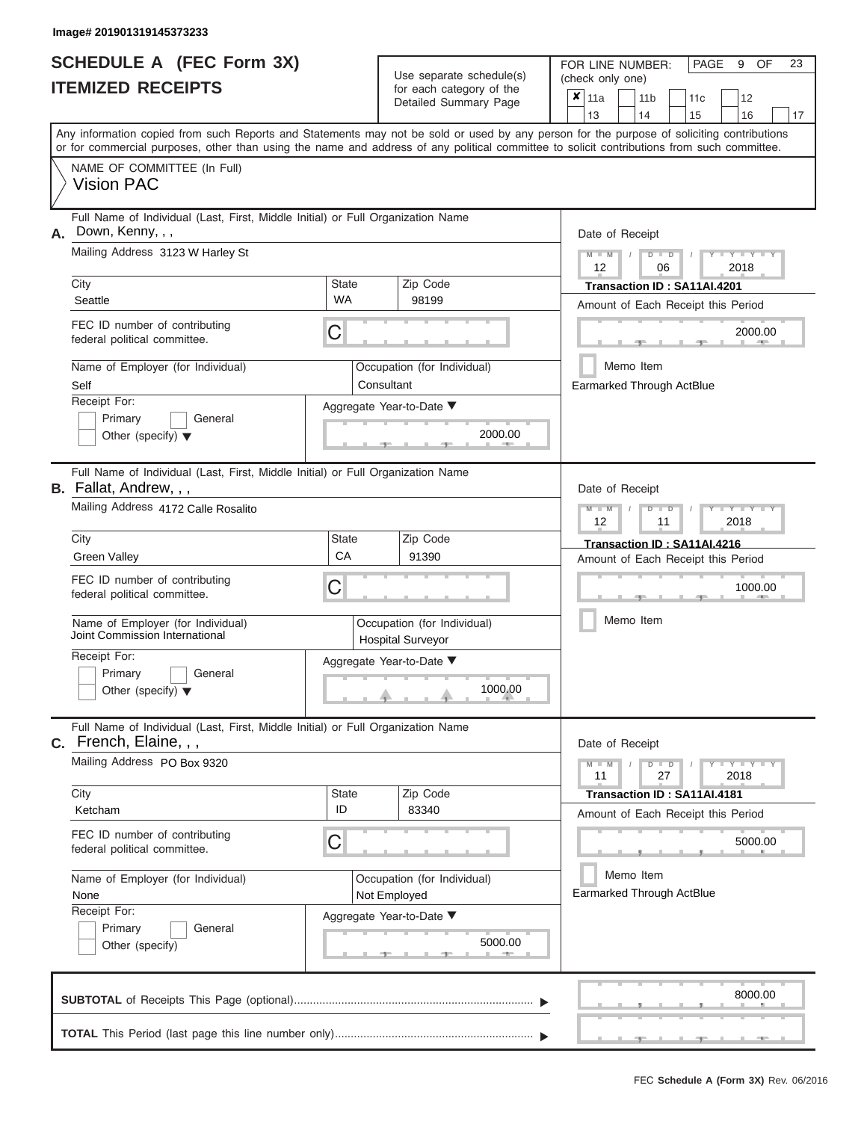|                          | SCHEDULE A (FEC Form 3X) |
|--------------------------|--------------------------|
| <b>ITEMIZED RECEIPTS</b> |                          |

Use separate schedule(s) (check only one)<br>for each category of the  $\begin{array}{|c|c|c|c|c|}\hline \textbf{X} & 11a & 1\end{array}$ 

FOR LINE NUMBER:

PAGE 9 OF 23

|                                                                                                                                                                                 | IIEMIZED RECEIPIS                                                                                                                                                                                                                                                                       |                           |                                                 | for each category of the<br>Detailed Summary Page                                              |                                               | ×<br>11a<br>11 <sub>b</sub><br>11c<br>12<br>13<br>14<br>15<br>16<br>17                                |  |  |  |  |  |
|---------------------------------------------------------------------------------------------------------------------------------------------------------------------------------|-----------------------------------------------------------------------------------------------------------------------------------------------------------------------------------------------------------------------------------------------------------------------------------------|---------------------------|-------------------------------------------------|------------------------------------------------------------------------------------------------|-----------------------------------------------|-------------------------------------------------------------------------------------------------------|--|--|--|--|--|
|                                                                                                                                                                                 | Any information copied from such Reports and Statements may not be sold or used by any person for the purpose of soliciting contributions<br>or for commercial purposes, other than using the name and address of any political committee to solicit contributions from such committee. |                           |                                                 |                                                                                                |                                               |                                                                                                       |  |  |  |  |  |
|                                                                                                                                                                                 | NAME OF COMMITTEE (In Full)<br><b>Vision PAC</b>                                                                                                                                                                                                                                        |                           |                                                 |                                                                                                |                                               |                                                                                                       |  |  |  |  |  |
| А.                                                                                                                                                                              | Full Name of Individual (Last, First, Middle Initial) or Full Organization Name<br>Down, Kenny, , ,<br>Mailing Address 3123 W Harley St                                                                                                                                                 |                           | Date of Receipt<br>$M - M$<br>$Y = Y$<br>ъ<br>ு |                                                                                                |                                               |                                                                                                       |  |  |  |  |  |
|                                                                                                                                                                                 | City<br>Seattle                                                                                                                                                                                                                                                                         | <b>State</b><br><b>WA</b> |                                                 | Zip Code<br>98199                                                                              |                                               | 2018<br>12<br>06<br>Transaction ID: SA11AI.4201<br>Amount of Each Receipt this Period                 |  |  |  |  |  |
|                                                                                                                                                                                 | FEC ID number of contributing<br>federal political committee.                                                                                                                                                                                                                           | С                         |                                                 |                                                                                                |                                               | 2000.00                                                                                               |  |  |  |  |  |
|                                                                                                                                                                                 | Name of Employer (for Individual)<br>Self<br>Receipt For:<br>Primary<br>General                                                                                                                                                                                                         | Aggregate Year-to-Date ▼  | Occupation (for Individual)<br>Consultant       |                                                                                                | Memo Item<br><b>Earmarked Through ActBlue</b> |                                                                                                       |  |  |  |  |  |
| 2000.00<br>Other (specify) $\blacktriangledown$<br>Full Name of Individual (Last, First, Middle Initial) or Full Organization Name<br>B. Fallat, Andrew, , ,<br>Date of Receipt |                                                                                                                                                                                                                                                                                         |                           |                                                 |                                                                                                |                                               |                                                                                                       |  |  |  |  |  |
|                                                                                                                                                                                 | Mailing Address 4172 Calle Rosalito<br>City<br><b>Green Valley</b>                                                                                                                                                                                                                      | State<br>CA               |                                                 | Zip Code<br>91390                                                                              |                                               | Y I Y I<br>D<br>12<br>2018<br>11<br>Transaction ID: SA11AI.4216<br>Amount of Each Receipt this Period |  |  |  |  |  |
|                                                                                                                                                                                 | FEC ID number of contributing<br>federal political committee.                                                                                                                                                                                                                           | С                         |                                                 |                                                                                                |                                               | 1000.00<br>Memo Item                                                                                  |  |  |  |  |  |
|                                                                                                                                                                                 | Name of Employer (for Individual)<br>Joint Commission International<br>Receipt For:<br>Primary<br>General<br>Other (specify) $\blacktriangledown$                                                                                                                                       |                           |                                                 | Occupation (for Individual)<br><b>Hospital Surveyor</b><br>Aggregate Year-to-Date ▼<br>1000.00 |                                               |                                                                                                       |  |  |  |  |  |
|                                                                                                                                                                                 | Full Name of Individual (Last, First, Middle Initial) or Full Organization Name<br>C. French, Elaine, , ,<br>Mailing Address PO Box 9320                                                                                                                                                |                           |                                                 |                                                                                                |                                               | Date of Receipt<br>$M - M$<br>$Y - Y - Y$<br>D<br>$\blacksquare$<br>27<br>11<br>2018                  |  |  |  |  |  |
|                                                                                                                                                                                 | City<br>Ketcham<br>FEC ID number of contributing<br>federal political committee.                                                                                                                                                                                                        | State<br>ID<br>С          |                                                 | Zip Code<br>83340                                                                              |                                               | Transaction ID: SA11AI.4181<br>Amount of Each Receipt this Period<br>5000.00                          |  |  |  |  |  |
|                                                                                                                                                                                 | Name of Employer (for Individual)<br>None<br>Receipt For:<br>Primary<br>General<br>Other (specify)                                                                                                                                                                                      |                           |                                                 | Occupation (for Individual)<br>Not Employed<br>Aggregate Year-to-Date ▼<br>5000.00             |                                               | Memo Item<br>Earmarked Through ActBlue                                                                |  |  |  |  |  |
|                                                                                                                                                                                 |                                                                                                                                                                                                                                                                                         |                           |                                                 |                                                                                                |                                               | 8000.00                                                                                               |  |  |  |  |  |
|                                                                                                                                                                                 |                                                                                                                                                                                                                                                                                         |                           |                                                 |                                                                                                |                                               |                                                                                                       |  |  |  |  |  |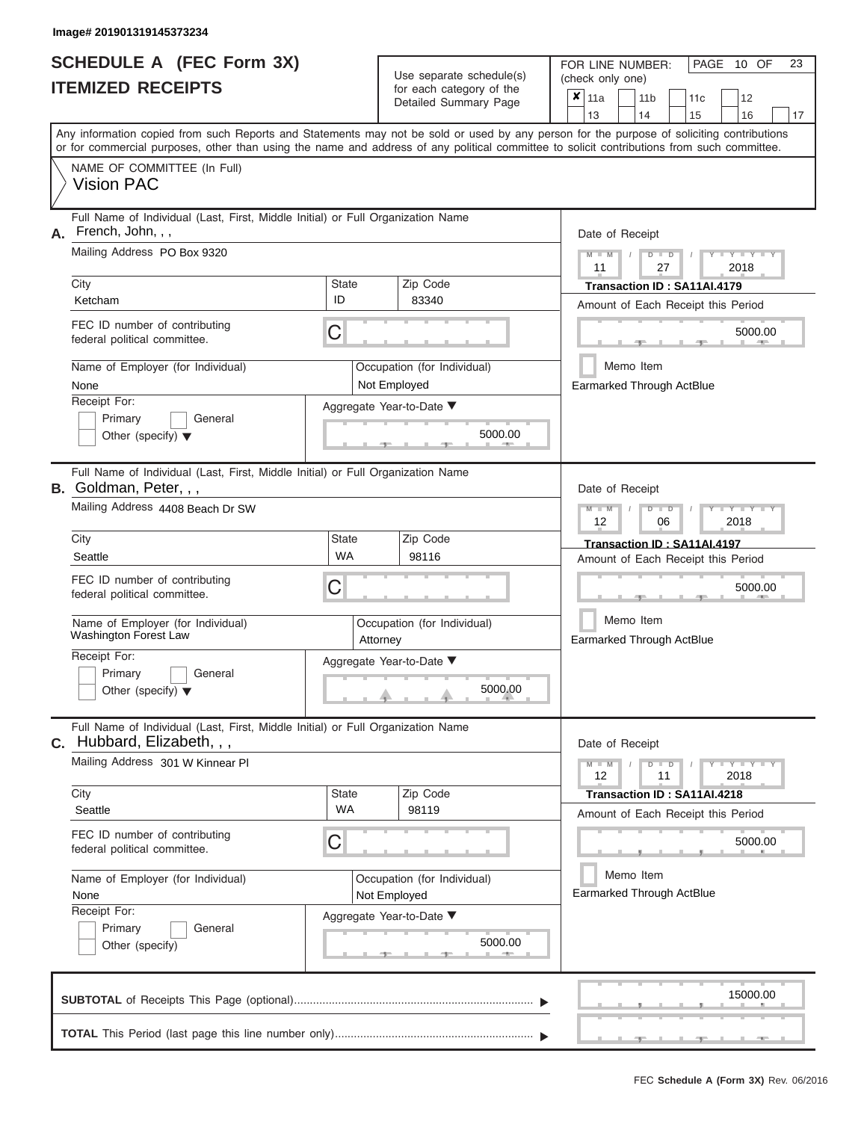## **SCHEDULE A (FEC Form 3X) ITEMIZED RECEIPTS**

Use separate schedule(s)  $\frac{1}{\pi}$  for each category of the

FOR LINE NUMBER:<br>(check only one)

PAGE 10 OF 23

|                                                                                                                                           | IIEMIZEU REVEIFIJ                                                                                                                                                                                                                                                                       |                                             |                                               | for each category of the<br>Detailed Summary Page |  | $\pmb{\mathsf{x}}$<br>11a                                         |                                                       | 11 <sub>b</sub>                                                                 | 11c |  | 12                          |    |  |  |  |  |  |  |
|-------------------------------------------------------------------------------------------------------------------------------------------|-----------------------------------------------------------------------------------------------------------------------------------------------------------------------------------------------------------------------------------------------------------------------------------------|---------------------------------------------|-----------------------------------------------|---------------------------------------------------|--|-------------------------------------------------------------------|-------------------------------------------------------|---------------------------------------------------------------------------------|-----|--|-----------------------------|----|--|--|--|--|--|--|
|                                                                                                                                           |                                                                                                                                                                                                                                                                                         |                                             |                                               |                                                   |  | 13                                                                |                                                       | 14                                                                              | 15  |  | 16                          | 17 |  |  |  |  |  |  |
|                                                                                                                                           | Any information copied from such Reports and Statements may not be sold or used by any person for the purpose of soliciting contributions<br>or for commercial purposes, other than using the name and address of any political committee to solicit contributions from such committee. |                                             |                                               |                                                   |  |                                                                   |                                                       |                                                                                 |     |  |                             |    |  |  |  |  |  |  |
|                                                                                                                                           | NAME OF COMMITTEE (In Full)<br><b>Vision PAC</b>                                                                                                                                                                                                                                        |                                             |                                               |                                                   |  |                                                                   |                                                       |                                                                                 |     |  |                             |    |  |  |  |  |  |  |
| Full Name of Individual (Last, First, Middle Initial) or Full Organization Name<br>French, John, , ,<br>Α.<br>Mailing Address PO Box 9320 |                                                                                                                                                                                                                                                                                         |                                             |                                               |                                                   |  |                                                                   |                                                       | Date of Receipt<br>$M - M$<br>$D$ $\Box$ $D$<br>$Y = Y = Y$<br>27<br>2018<br>11 |     |  |                             |    |  |  |  |  |  |  |
|                                                                                                                                           | City                                                                                                                                                                                                                                                                                    | Zip Code<br><b>State</b><br>83340           |                                               |                                                   |  |                                                                   |                                                       | Transaction ID: SA11AI.4179                                                     |     |  |                             |    |  |  |  |  |  |  |
|                                                                                                                                           | Ketcham<br>FEC ID number of contributing<br>federal political committee.                                                                                                                                                                                                                | ID<br>C                                     | Amount of Each Receipt this Period<br>5000.00 |                                                   |  |                                                                   |                                                       |                                                                                 |     |  |                             |    |  |  |  |  |  |  |
|                                                                                                                                           | Name of Employer (for Individual)<br>None                                                                                                                                                                                                                                               | Occupation (for Individual)<br>Not Employed |                                               |                                                   |  |                                                                   |                                                       | Memo Item<br><b>Earmarked Through ActBlue</b>                                   |     |  |                             |    |  |  |  |  |  |  |
|                                                                                                                                           | Receipt For:<br>Primary<br>General<br>Other (specify) $\blacktriangledown$                                                                                                                                                                                                              |                                             |                                               | Aggregate Year-to-Date ▼<br>5000.00               |  |                                                                   |                                                       |                                                                                 |     |  |                             |    |  |  |  |  |  |  |
|                                                                                                                                           | Full Name of Individual (Last, First, Middle Initial) or Full Organization Name<br>B. Goldman, Peter, , ,                                                                                                                                                                               |                                             |                                               |                                                   |  | Date of Receipt                                                   |                                                       |                                                                                 |     |  |                             |    |  |  |  |  |  |  |
| Mailing Address 4408 Beach Dr SW                                                                                                          |                                                                                                                                                                                                                                                                                         |                                             |                                               |                                                   |  |                                                                   | $M - M$<br>$Y - Y - Y$<br>$D$ $D$<br>12<br>06<br>2018 |                                                                                 |     |  |                             |    |  |  |  |  |  |  |
|                                                                                                                                           | Zip Code<br>City<br><b>State</b><br><b>WA</b><br>98116<br>Seattle                                                                                                                                                                                                                       |                                             |                                               |                                                   |  | Transaction ID: SA11AI.4197<br>Amount of Each Receipt this Period |                                                       |                                                                                 |     |  |                             |    |  |  |  |  |  |  |
|                                                                                                                                           | FEC ID number of contributing<br>federal political committee.                                                                                                                                                                                                                           | С                                           |                                               |                                                   |  | 5000.00                                                           |                                                       |                                                                                 |     |  |                             |    |  |  |  |  |  |  |
|                                                                                                                                           | Name of Employer (for Individual)<br>Washington Forest Law                                                                                                                                                                                                                              | Occupation (for Individual)<br>Attorney     |                                               |                                                   |  | Memo Item<br>Earmarked Through ActBlue                            |                                                       |                                                                                 |     |  |                             |    |  |  |  |  |  |  |
|                                                                                                                                           | Receipt For:<br>Primary<br>General<br>Other (specify) $\blacktriangledown$                                                                                                                                                                                                              |                                             |                                               | Aggregate Year-to-Date ▼<br>5000.00               |  |                                                                   |                                                       |                                                                                 |     |  |                             |    |  |  |  |  |  |  |
|                                                                                                                                           | Full Name of Individual (Last, First, Middle Initial) or Full Organization Name<br>$c.$ Hubbard, Elizabeth, $, ,$                                                                                                                                                                       |                                             |                                               |                                                   |  | Date of Receipt                                                   |                                                       |                                                                                 |     |  |                             |    |  |  |  |  |  |  |
|                                                                                                                                           | Mailing Address 301 W Kinnear Pl                                                                                                                                                                                                                                                        |                                             |                                               |                                                   |  | $M - M$<br>12                                                     |                                                       | $D$ $D$<br>11                                                                   |     |  | $Y - Y - Y - Y - Y$<br>2018 |    |  |  |  |  |  |  |
|                                                                                                                                           | City<br>Seattle                                                                                                                                                                                                                                                                         | State<br><b>WA</b>                          |                                               | Zip Code<br>98119                                 |  |                                                                   |                                                       | Transaction ID: SA11AI.4218                                                     |     |  |                             |    |  |  |  |  |  |  |
|                                                                                                                                           | FEC ID number of contributing<br>federal political committee.                                                                                                                                                                                                                           | С                                           |                                               |                                                   |  | Amount of Each Receipt this Period                                |                                                       |                                                                                 |     |  | 5000.00                     |    |  |  |  |  |  |  |
|                                                                                                                                           | Name of Employer (for Individual)<br>None                                                                                                                                                                                                                                               |                                             |                                               | Occupation (for Individual)<br>Not Employed       |  | Earmarked Through ActBlue                                         |                                                       | Memo Item                                                                       |     |  |                             |    |  |  |  |  |  |  |
|                                                                                                                                           | Receipt For:<br>Primary<br>General<br>Other (specify)                                                                                                                                                                                                                                   |                                             |                                               | Aggregate Year-to-Date ▼<br>5000.00<br>4000<br>a. |  |                                                                   |                                                       |                                                                                 |     |  |                             |    |  |  |  |  |  |  |
|                                                                                                                                           |                                                                                                                                                                                                                                                                                         |                                             |                                               |                                                   |  |                                                                   |                                                       |                                                                                 |     |  | 15000.00                    |    |  |  |  |  |  |  |
|                                                                                                                                           |                                                                                                                                                                                                                                                                                         |                                             |                                               |                                                   |  |                                                                   |                                                       |                                                                                 |     |  |                             |    |  |  |  |  |  |  |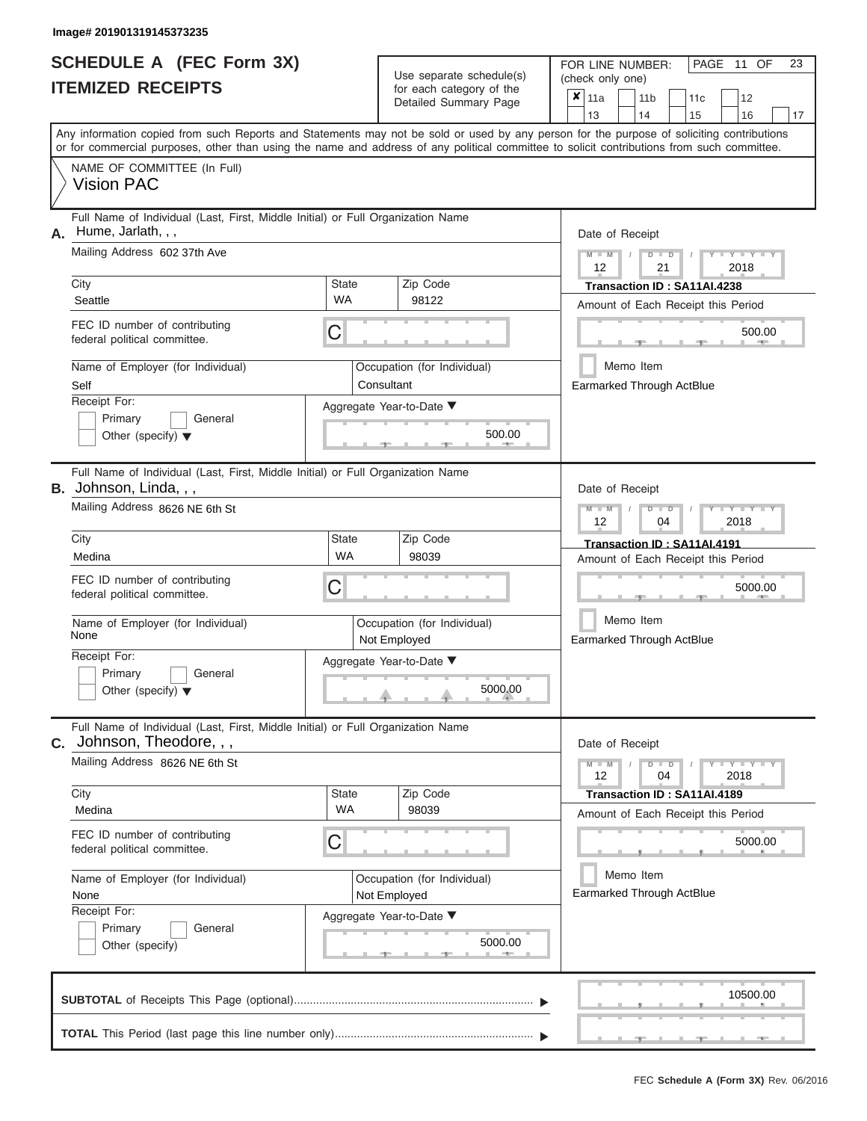|                          | SCHEDULE A (FEC Form 3X) |
|--------------------------|--------------------------|
| <b>ITEMIZED RECEIPTS</b> |                          |

Use separate schedule $(s)$  for each category of the

FOR LINE NUMBER:<br>(check only one)

PAGE 11 OF 23

|                                | <b>IIEMILED REVEIFIJ</b>                                                                                                                                                                                                                                                                |                                                                                         | ior each category of the                         |                                        | ×<br>11a                                        |                                        | 11 <sub>b</sub>                                                    | 11 <sub>c</sub>                                                   |  | 12                              |    |  |  |  |  |  |
|--------------------------------|-----------------------------------------------------------------------------------------------------------------------------------------------------------------------------------------------------------------------------------------------------------------------------------------|-----------------------------------------------------------------------------------------|--------------------------------------------------|----------------------------------------|-------------------------------------------------|----------------------------------------|--------------------------------------------------------------------|-------------------------------------------------------------------|--|---------------------------------|----|--|--|--|--|--|
|                                |                                                                                                                                                                                                                                                                                         |                                                                                         | Detailed Summary Page                            |                                        | 13                                              |                                        | 14                                                                 | 15                                                                |  | 16                              | 17 |  |  |  |  |  |
|                                | Any information copied from such Reports and Statements may not be sold or used by any person for the purpose of soliciting contributions<br>or for commercial purposes, other than using the name and address of any political committee to solicit contributions from such committee. |                                                                                         |                                                  |                                        |                                                 |                                        |                                                                    |                                                                   |  |                                 |    |  |  |  |  |  |
|                                | NAME OF COMMITTEE (In Full)<br><b>Vision PAC</b>                                                                                                                                                                                                                                        |                                                                                         |                                                  |                                        |                                                 |                                        |                                                                    |                                                                   |  |                                 |    |  |  |  |  |  |
| А.                             | Full Name of Individual (Last, First, Middle Initial) or Full Organization Name<br>Hume, Jarlath, , ,<br>Mailing Address 602 37th Ave                                                                                                                                                   |                                                                                         | Date of Receipt<br>$M - M$<br>Y I Y I<br>$D$ $D$ |                                        |                                                 |                                        |                                                                    |                                                                   |  |                                 |    |  |  |  |  |  |
|                                | City                                                                                                                                                                                                                                                                                    | <b>State</b><br><b>WA</b>                                                               | Zip Code<br>98122                                |                                        | 12<br>21<br>2018<br>Transaction ID: SA11AI.4238 |                                        |                                                                    |                                                                   |  |                                 |    |  |  |  |  |  |
|                                | Seattle<br>FEC ID number of contributing<br>federal political committee.                                                                                                                                                                                                                | С                                                                                       |                                                  |                                        | Amount of Each Receipt this Period<br>500.00    |                                        |                                                                    |                                                                   |  |                                 |    |  |  |  |  |  |
|                                | Name of Employer (for Individual)<br>Self                                                                                                                                                                                                                                               | Occupation (for Individual)<br>Consultant                                               |                                                  | Memo Item<br>Earmarked Through ActBlue |                                                 |                                        |                                                                    |                                                                   |  |                                 |    |  |  |  |  |  |
|                                | Receipt For:<br>Primary<br>General<br>Other (specify) $\blacktriangledown$                                                                                                                                                                                                              |                                                                                         | Aggregate Year-to-Date ▼<br>500.00               |                                        |                                                 |                                        |                                                                    |                                                                   |  |                                 |    |  |  |  |  |  |
|                                | Full Name of Individual (Last, First, Middle Initial) or Full Organization Name<br><b>B.</b> Johnson, Linda, , ,                                                                                                                                                                        |                                                                                         |                                                  |                                        | Date of Receipt                                 |                                        |                                                                    |                                                                   |  |                                 |    |  |  |  |  |  |
| Mailing Address 8626 NE 6th St |                                                                                                                                                                                                                                                                                         |                                                                                         |                                                  |                                        |                                                 |                                        | $M - M$<br>$\overline{D}$<br>$T - Y$<br>$\Box$<br>12<br>04<br>2018 |                                                                   |  |                                 |    |  |  |  |  |  |
|                                | City<br>Medina                                                                                                                                                                                                                                                                          | Zip Code<br><b>State</b><br><b>WA</b><br>98039                                          |                                                  |                                        |                                                 |                                        | Transaction ID: SA11AI.4191<br>Amount of Each Receipt this Period  |                                                                   |  |                                 |    |  |  |  |  |  |
|                                | FEC ID number of contributing<br>federal political committee.                                                                                                                                                                                                                           | С<br>Occupation (for Individual)<br>Not Employed<br>Aggregate Year-to-Date ▼<br>5000.00 |                                                  |                                        |                                                 | 5000.00                                |                                                                    |                                                                   |  |                                 |    |  |  |  |  |  |
|                                | Name of Employer (for Individual)<br>None                                                                                                                                                                                                                                               |                                                                                         |                                                  |                                        |                                                 | Memo Item<br>Earmarked Through ActBlue |                                                                    |                                                                   |  |                                 |    |  |  |  |  |  |
|                                | Receipt For:<br>Primary<br>General<br>Other (specify) $\blacktriangledown$                                                                                                                                                                                                              |                                                                                         |                                                  |                                        |                                                 |                                        |                                                                    |                                                                   |  |                                 |    |  |  |  |  |  |
| С.                             | Full Name of Individual (Last, First, Middle Initial) or Full Organization Name<br>Johnson, Theodore, , ,                                                                                                                                                                               |                                                                                         |                                                  |                                        | Date of Receipt                                 |                                        |                                                                    |                                                                   |  |                                 |    |  |  |  |  |  |
|                                | Mailing Address 8626 NE 6th St                                                                                                                                                                                                                                                          |                                                                                         |                                                  |                                        | $M - M$<br>12                                   |                                        | $D$ $D$<br>04                                                      |                                                                   |  | $T - Y - T - Y - T - Y$<br>2018 |    |  |  |  |  |  |
|                                | City<br>Medina                                                                                                                                                                                                                                                                          | <b>State</b><br><b>WA</b>                                                               | Zip Code<br>98039                                |                                        |                                                 |                                        |                                                                    | Transaction ID: SA11AI.4189<br>Amount of Each Receipt this Period |  |                                 |    |  |  |  |  |  |
|                                | FEC ID number of contributing<br>federal political committee.                                                                                                                                                                                                                           | С<br>Occupation (for Individual)<br>Not Employed                                        |                                                  |                                        |                                                 |                                        |                                                                    |                                                                   |  | 5000.00                         |    |  |  |  |  |  |
|                                | Name of Employer (for Individual)<br>None                                                                                                                                                                                                                                               |                                                                                         |                                                  |                                        |                                                 |                                        | Memo Item                                                          | Earmarked Through ActBlue                                         |  |                                 |    |  |  |  |  |  |
|                                | Receipt For:<br>General<br>Primary<br>Other (specify)                                                                                                                                                                                                                                   |                                                                                         | Aggregate Year-to-Date ▼<br>5000.00              |                                        |                                                 |                                        |                                                                    |                                                                   |  |                                 |    |  |  |  |  |  |
|                                |                                                                                                                                                                                                                                                                                         |                                                                                         |                                                  |                                        |                                                 |                                        |                                                                    |                                                                   |  | 10500.00                        |    |  |  |  |  |  |
|                                |                                                                                                                                                                                                                                                                                         |                                                                                         |                                                  |                                        |                                                 |                                        |                                                                    |                                                                   |  |                                 |    |  |  |  |  |  |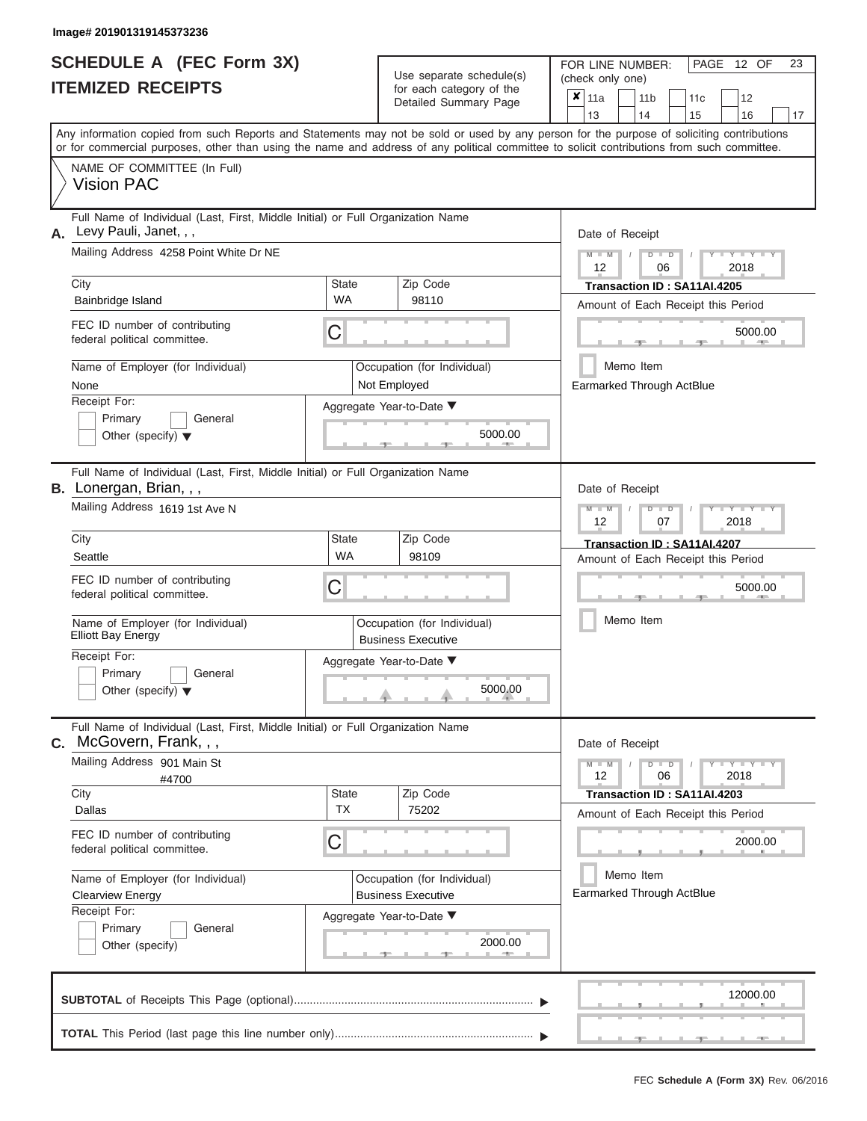| SCHEDULE A (FEC Form 3X)<br><b>ITEMIZED RECEIPTS</b>                                                                                                                                                                                                                                                                                                                               | Use separate schedule(s)<br>for each category of the<br>Detailed Summary Page                                                                          | 23<br>FOR LINE NUMBER:<br>PAGE 12 OF<br>(check only one)<br>$\overline{\mathbf{x}}$   11a<br>11 <sub>b</sub><br>12<br>11 <sub>c</sub><br>13<br>14<br>15<br>16<br>17                                                          |
|------------------------------------------------------------------------------------------------------------------------------------------------------------------------------------------------------------------------------------------------------------------------------------------------------------------------------------------------------------------------------------|--------------------------------------------------------------------------------------------------------------------------------------------------------|------------------------------------------------------------------------------------------------------------------------------------------------------------------------------------------------------------------------------|
| or for commercial purposes, other than using the name and address of any political committee to solicit contributions from such committee.<br>NAME OF COMMITTEE (In Full)<br><b>Vision PAC</b>                                                                                                                                                                                     |                                                                                                                                                        | Any information copied from such Reports and Statements may not be sold or used by any person for the purpose of soliciting contributions                                                                                    |
| Full Name of Individual (Last, First, Middle Initial) or Full Organization Name<br>Levy Pauli, Janet, , ,<br>А.<br>Mailing Address 4258 Point White Dr NE<br>City<br>Bainbridge Island<br>FEC ID number of contributing<br>federal political committee.<br>Name of Employer (for Individual)<br>None<br>Receipt For:<br>Primary<br>General<br>Other (specify) $\blacktriangledown$ | <b>State</b><br>Zip Code<br><b>WA</b><br>98110<br>С<br>Occupation (for Individual)<br>Not Employed<br>Aggregate Year-to-Date ▼<br>5000.00              | Date of Receipt<br>$M - M$<br>$D$ $D$<br>Y TY T<br>$\sqrt{2}$<br>12<br>06<br>2018<br>Transaction ID: SA11AI.4205<br>Amount of Each Receipt this Period<br>5000.00<br><b>AND IN</b><br>Memo Item<br>Earmarked Through ActBlue |
| Full Name of Individual (Last, First, Middle Initial) or Full Organization Name<br>B. Lonergan, Brian, , ,<br>Mailing Address 1619 1st Ave N<br>City<br>Seattle<br>FEC ID number of contributing<br>federal political committee.<br>Name of Employer (for Individual)<br><b>Elliott Bay Energy</b><br>Receipt For:<br>Primary<br>General<br>Other (specify) $\blacktriangledown$   | State<br>Zip Code<br><b>WA</b><br>98109<br>С<br>Occupation (for Individual)<br><b>Business Executive</b><br>Aggregate Year-to-Date ▼<br>5000.00        | Date of Receipt<br>$M - M$<br>$D$ $D$<br>Y I Y I<br>12<br>2018<br>07<br>Transaction ID: SA11AI.4207<br>Amount of Each Receipt this Period<br>5000.00<br>Memo Item                                                            |
| Full Name of Individual (Last, First, Middle Initial) or Full Organization Name<br>McGovern, Frank, , ,<br>C.<br>Mailing Address 901 Main St<br>#4700<br>City<br>Dallas<br>FEC ID number of contributing<br>federal political committee.<br>Name of Employer (for Individual)<br><b>Clearview Energy</b><br>Receipt For:<br>Primary<br>General<br>Other (specify)                  | Zip Code<br><b>State</b><br><b>TX</b><br>75202<br>С<br>Occupation (for Individual)<br><b>Business Executive</b><br>Aggregate Year-to-Date ▼<br>2000.00 | Date of Receipt<br>$M - M$<br>$D$ $D$<br>$T - Y = Y - T Y$<br>12<br>06<br>2018<br>Transaction ID: SA11AI.4203<br>Amount of Each Receipt this Period<br>2000.00<br>Memo Item<br>Earmarked Through ActBlue                     |
|                                                                                                                                                                                                                                                                                                                                                                                    |                                                                                                                                                        | 12000.00<br><b>Allen</b>                                                                                                                                                                                                     |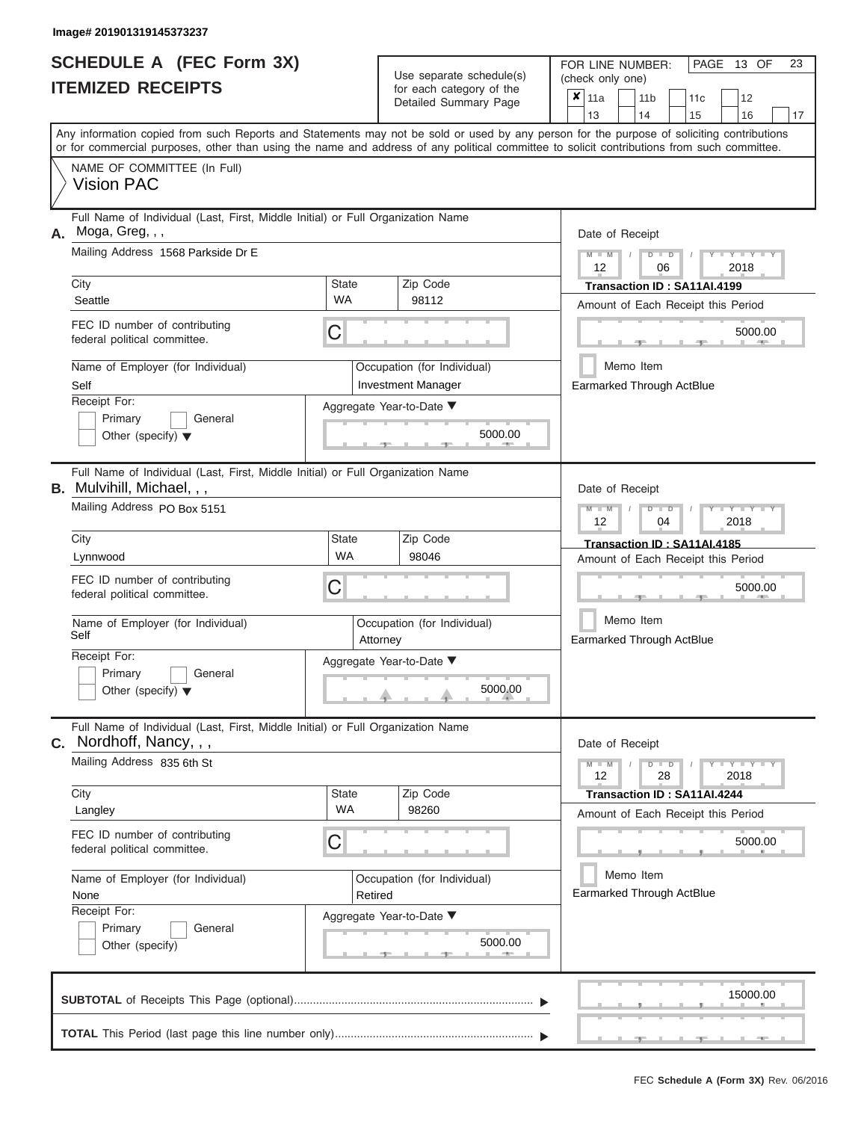| Full Name of Individual (Last, First, Middle Initial) or Full Organization Name<br>Zip Code<br>98112                                            | 13<br>14<br>15<br>16<br>17<br>Any information copied from such Reports and Statements may not be sold or used by any person for the purpose of soliciting contributions<br>or for commercial purposes, other than using the name and address of any political committee to solicit contributions from such committee.<br>Date of Receipt<br>$M - M$<br>$D$ $D$<br>Y TY<br>$\sqrt{ }$<br>12<br>06<br>2018<br>Transaction ID: SA11AI.4199<br>Amount of Each Receipt this Period |
|-------------------------------------------------------------------------------------------------------------------------------------------------|-------------------------------------------------------------------------------------------------------------------------------------------------------------------------------------------------------------------------------------------------------------------------------------------------------------------------------------------------------------------------------------------------------------------------------------------------------------------------------|
|                                                                                                                                                 |                                                                                                                                                                                                                                                                                                                                                                                                                                                                               |
|                                                                                                                                                 |                                                                                                                                                                                                                                                                                                                                                                                                                                                                               |
|                                                                                                                                                 |                                                                                                                                                                                                                                                                                                                                                                                                                                                                               |
| Occupation (for Individual)<br><b>Investment Manager</b><br>Aggregate Year-to-Date ▼<br>5000.00                                                 | 5000.00<br><b>AND IN</b><br>Memo Item<br>Earmarked Through ActBlue                                                                                                                                                                                                                                                                                                                                                                                                            |
| Full Name of Individual (Last, First, Middle Initial) or Full Organization Name<br>Zip Code<br>98046<br>Occupation (for Individual)<br>Attorney | Date of Receipt<br>$M - M$<br>$D$ $\Box$ $D$<br>$\blacksquare$ $\blacksquare$ $\blacksquare$ $\blacksquare$ $\blacksquare$ $\blacksquare$<br>12<br>2018<br>04<br>Transaction ID: SA11AI.4185<br>Amount of Each Receipt this Period<br>5000.00<br>Memo Item<br>Earmarked Through ActBlue                                                                                                                                                                                       |
| Aggregate Year-to-Date ▼<br>5000.00                                                                                                             |                                                                                                                                                                                                                                                                                                                                                                                                                                                                               |
| Zip Code<br>98260                                                                                                                               | Date of Receipt<br>$M - M$<br>$D$ $D$<br>$\blacksquare \blacksquare \mathsf{Y} \mathrel{\sqsubseteq} \mathsf{Y} \mathrel{\sqsubseteq} \mathsf{Y}$<br>12<br>28<br>2018<br>Transaction ID: SA11AI.4244<br>Amount of Each Receipt this Period                                                                                                                                                                                                                                    |
| Occupation (for Individual)<br>Retired<br>Aggregate Year-to-Date ▼<br>5000.00                                                                   | 5000.00<br>Memo Item<br>Earmarked Through ActBlue                                                                                                                                                                                                                                                                                                                                                                                                                             |
|                                                                                                                                                 | Full Name of Individual (Last, First, Middle Initial) or Full Organization Name                                                                                                                                                                                                                                                                                                                                                                                               |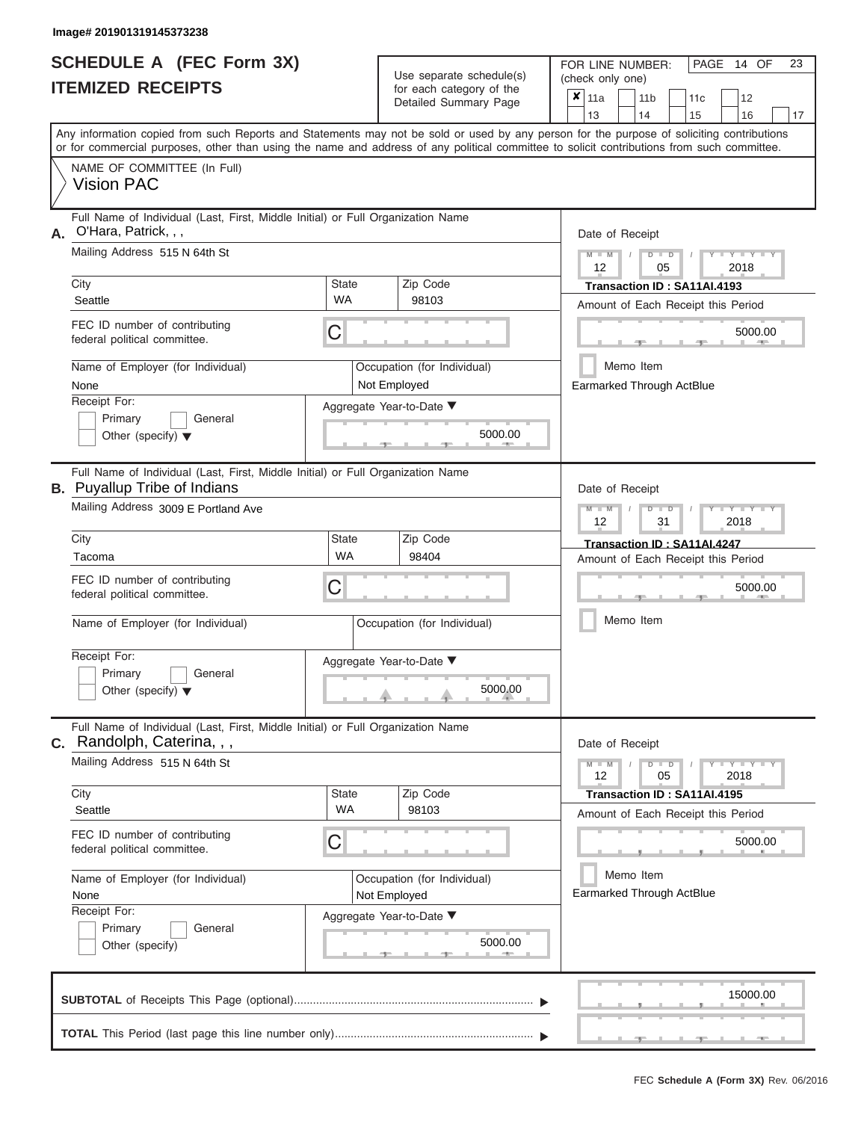|                          | <b>SCHEDULE A (FEC Form 3X)</b> |
|--------------------------|---------------------------------|
| <b>ITEMIZED RECEIPTS</b> |                                 |

Use separate schedule(s)<br>for each category of the

FOR LINE NUMBER:<br>(check only one)

PAGE 14 OF 23

|                               |                                                                                                                                                                                                                                                                                         |                                             | ivi cacii calcyory or life<br>Detailed Summary Page | ×                                              | 11a                         |                             | 11 <sub>b</sub>                               | 11c | 12                                 |    |  |  |  |  |
|-------------------------------|-----------------------------------------------------------------------------------------------------------------------------------------------------------------------------------------------------------------------------------------------------------------------------------------|---------------------------------------------|-----------------------------------------------------|------------------------------------------------|-----------------------------|-----------------------------|-----------------------------------------------|-----|------------------------------------|----|--|--|--|--|
|                               |                                                                                                                                                                                                                                                                                         |                                             |                                                     |                                                | 13                          |                             | 14                                            | 15  | 16                                 | 17 |  |  |  |  |
|                               | Any information copied from such Reports and Statements may not be sold or used by any person for the purpose of soliciting contributions<br>or for commercial purposes, other than using the name and address of any political committee to solicit contributions from such committee. |                                             |                                                     |                                                |                             |                             |                                               |     |                                    |    |  |  |  |  |
|                               | NAME OF COMMITTEE (In Full)<br><b>Vision PAC</b>                                                                                                                                                                                                                                        |                                             |                                                     |                                                |                             |                             |                                               |     |                                    |    |  |  |  |  |
| А.                            | Full Name of Individual (Last, First, Middle Initial) or Full Organization Name<br>O'Hara, Patrick, , ,                                                                                                                                                                                 |                                             | Date of Receipt                                     |                                                |                             |                             |                                               |     |                                    |    |  |  |  |  |
| Mailing Address 515 N 64th St |                                                                                                                                                                                                                                                                                         |                                             |                                                     |                                                |                             |                             | $D$ $D$<br>05                                 |     | $Y - Y - I$<br>2018                |    |  |  |  |  |
|                               | City                                                                                                                                                                                                                                                                                    | <b>State</b>                                | Zip Code                                            |                                                | Transaction ID: SA11AI.4193 |                             |                                               |     |                                    |    |  |  |  |  |
|                               | Seattle                                                                                                                                                                                                                                                                                 | <b>WA</b>                                   | 98103                                               | Amount of Each Receipt this Period             |                             |                             |                                               |     |                                    |    |  |  |  |  |
|                               | FEC ID number of contributing<br>federal political committee.                                                                                                                                                                                                                           | С                                           |                                                     |                                                |                             |                             |                                               |     | 5000.00                            |    |  |  |  |  |
|                               | Name of Employer (for Individual)<br>None                                                                                                                                                                                                                                               |                                             | Occupation (for Individual)<br>Not Employed         |                                                |                             |                             | Memo Item<br><b>Earmarked Through ActBlue</b> |     |                                    |    |  |  |  |  |
|                               | Receipt For:                                                                                                                                                                                                                                                                            |                                             | Aggregate Year-to-Date ▼                            |                                                |                             |                             |                                               |     |                                    |    |  |  |  |  |
|                               | Primary<br>General<br>Other (specify) $\blacktriangledown$                                                                                                                                                                                                                              | 5000.00                                     |                                                     |                                                |                             |                             |                                               |     |                                    |    |  |  |  |  |
|                               | Full Name of Individual (Last, First, Middle Initial) or Full Organization Name<br><b>B.</b> Puyallup Tribe of Indians                                                                                                                                                                  |                                             | Date of Receipt                                     |                                                |                             |                             |                                               |     |                                    |    |  |  |  |  |
|                               | Mailing Address 3009 E Portland Ave                                                                                                                                                                                                                                                     |                                             |                                                     | $M - M$<br>$D$ $D$<br>Y TY<br>12<br>31<br>2018 |                             |                             |                                               |     |                                    |    |  |  |  |  |
|                               | City<br>Zip Code<br><b>State</b>                                                                                                                                                                                                                                                        |                                             |                                                     |                                                |                             | Transaction ID: SA11AI.4247 |                                               |     |                                    |    |  |  |  |  |
|                               | Tacoma                                                                                                                                                                                                                                                                                  | <b>WA</b><br>98404                          |                                                     |                                                |                             |                             |                                               |     | Amount of Each Receipt this Period |    |  |  |  |  |
|                               | FEC ID number of contributing<br>federal political committee.                                                                                                                                                                                                                           | С                                           |                                                     |                                                |                             | 5000.00                     |                                               |     |                                    |    |  |  |  |  |
|                               | Name of Employer (for Individual)                                                                                                                                                                                                                                                       | Occupation (for Individual)                 |                                                     |                                                |                             | Memo Item                   |                                               |     |                                    |    |  |  |  |  |
|                               | Receipt For:                                                                                                                                                                                                                                                                            | Aggregate Year-to-Date ▼                    |                                                     |                                                |                             |                             |                                               |     |                                    |    |  |  |  |  |
|                               | Primary<br>General<br>Other (specify) $\blacktriangledown$                                                                                                                                                                                                                              | 5000.00                                     |                                                     |                                                |                             |                             |                                               |     |                                    |    |  |  |  |  |
| С.                            | Full Name of Individual (Last, First, Middle Initial) or Full Organization Name<br>Randolph, Caterina, , ,                                                                                                                                                                              |                                             |                                                     |                                                | Date of Receipt             |                             |                                               |     |                                    |    |  |  |  |  |
|                               | Mailing Address 515 N 64th St                                                                                                                                                                                                                                                           |                                             |                                                     |                                                | $M - M$<br>12               |                             | $D$ $D$<br>05                                 |     | $T - Y = T - Y = T - Y$<br>2018    |    |  |  |  |  |
|                               | City                                                                                                                                                                                                                                                                                    | <b>State</b><br><b>WA</b>                   | Zip Code                                            |                                                |                             |                             | Transaction ID: SA11AI.4195                   |     |                                    |    |  |  |  |  |
|                               | Seattle                                                                                                                                                                                                                                                                                 |                                             | 98103                                               |                                                |                             |                             |                                               |     | Amount of Each Receipt this Period |    |  |  |  |  |
|                               | FEC ID number of contributing<br>federal political committee.                                                                                                                                                                                                                           | С                                           |                                                     |                                                |                             |                             |                                               |     | 5000.00                            |    |  |  |  |  |
|                               | Name of Employer (for Individual)<br>None                                                                                                                                                                                                                                               | Occupation (for Individual)<br>Not Employed |                                                     |                                                |                             |                             | Memo Item<br>Earmarked Through ActBlue        |     |                                    |    |  |  |  |  |
|                               | Receipt For:                                                                                                                                                                                                                                                                            | Aggregate Year-to-Date ▼                    |                                                     |                                                |                             |                             |                                               |     |                                    |    |  |  |  |  |
|                               | General<br>Primary<br>Other (specify)                                                                                                                                                                                                                                                   |                                             | 5000.00                                             |                                                |                             |                             |                                               |     |                                    |    |  |  |  |  |
|                               |                                                                                                                                                                                                                                                                                         |                                             |                                                     |                                                |                             |                             |                                               |     | 15000.00                           |    |  |  |  |  |
|                               |                                                                                                                                                                                                                                                                                         |                                             |                                                     |                                                |                             |                             |                                               |     |                                    |    |  |  |  |  |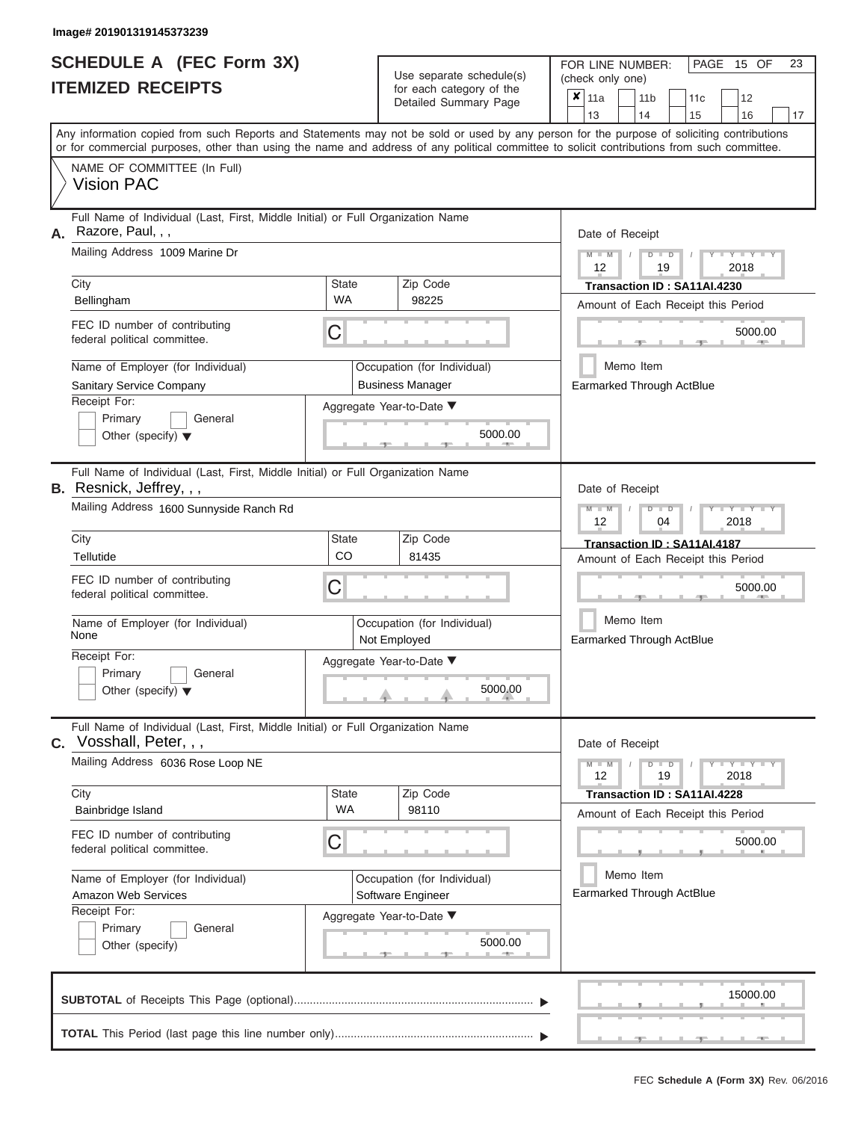| SCHEDULE A (FEC Form 3X)<br><b>ITEMIZED RECEIPTS</b>                                                                                                                                                                                                                                                                                                                               |                         | Use separate schedule(s)<br>for each category of the<br>Detailed Summary Page                                      | 23<br>FOR LINE NUMBER:<br>PAGE<br>15 OF<br>(check only one)<br>$\boldsymbol{x}$<br>11a<br>11 <sub>b</sub><br>11c<br>12<br>13<br>14<br>15<br>16<br>17                                                                |  |  |  |  |  |
|------------------------------------------------------------------------------------------------------------------------------------------------------------------------------------------------------------------------------------------------------------------------------------------------------------------------------------------------------------------------------------|-------------------------|--------------------------------------------------------------------------------------------------------------------|---------------------------------------------------------------------------------------------------------------------------------------------------------------------------------------------------------------------|--|--|--|--|--|
| Any information copied from such Reports and Statements may not be sold or used by any person for the purpose of soliciting contributions<br>or for commercial purposes, other than using the name and address of any political committee to solicit contributions from such committee.<br>NAME OF COMMITTEE (In Full)<br><b>Vision PAC</b>                                        |                         |                                                                                                                    |                                                                                                                                                                                                                     |  |  |  |  |  |
| Full Name of Individual (Last, First, Middle Initial) or Full Organization Name<br>Razore, Paul, , ,<br>А.<br>Mailing Address 1009 Marine Dr<br>City<br>Bellingham<br>FEC ID number of contributing<br>federal political committee.<br>Name of Employer (for Individual)<br>Sanitary Service Company<br>Receipt For:<br>Primary<br>General<br>Other (specify) $\blacktriangledown$ | State<br><b>WA</b><br>C | Zip Code<br>98225<br>Occupation (for Individual)<br><b>Business Manager</b><br>Aggregate Year-to-Date ▼<br>5000.00 | Date of Receipt<br>$M - M$<br>$D$ $D$<br>$Y - Y - I$<br>12<br>19<br>2018<br>Transaction ID: SA11AI.4230<br>Amount of Each Receipt this Period<br>5000.00<br><b>AND IN</b><br>Memo Item<br>Earmarked Through ActBlue |  |  |  |  |  |
| Full Name of Individual (Last, First, Middle Initial) or Full Organization Name<br>B. Resnick, Jeffrey, , ,<br>Mailing Address 1600 Sunnyside Ranch Rd<br>City<br>Tellutide<br>FEC ID number of contributing<br>federal political committee.<br>Name of Employer (for Individual)<br>None<br>Receipt For:<br>Primary<br>General<br>Other (specify) $\blacktriangledown$            | State<br>CO<br>С        | Zip Code<br>81435<br>Occupation (for Individual)<br>Not Employed<br>Aggregate Year-to-Date ▼<br>5000.00            | Date of Receipt<br>$M - M$<br>$D$ $\Box$ $D$<br>Y I Y I<br>12<br>2018<br>04<br>Transaction ID: SA11AI.4187<br>Amount of Each Receipt this Period<br>5000.00<br>Memo Item<br>Earmarked Through ActBlue               |  |  |  |  |  |
| Full Name of Individual (Last, First, Middle Initial) or Full Organization Name<br>C. Vosshall, Peter, , ,<br>Mailing Address 6036 Rose Loop NE<br>City<br>Bainbridge Island<br>FEC ID number of contributing<br>federal political committee.<br>Name of Employer (for Individual)<br>Amazon Web Services<br>Receipt For:<br>Primary<br>General<br>Other (specify)                 | State<br><b>WA</b><br>С | Zip Code<br>98110<br>Occupation (for Individual)<br>Software Engineer<br>Aggregate Year-to-Date ▼<br>5000.00       | Date of Receipt<br>$M - M$<br>$D$ $D$<br>12<br>19<br>2018<br>Transaction ID: SA11AI.4228<br>Amount of Each Receipt this Period<br>5000.00<br>Memo Item<br>Earmarked Through ActBlue                                 |  |  |  |  |  |
|                                                                                                                                                                                                                                                                                                                                                                                    |                         |                                                                                                                    | 15000.00                                                                                                                                                                                                            |  |  |  |  |  |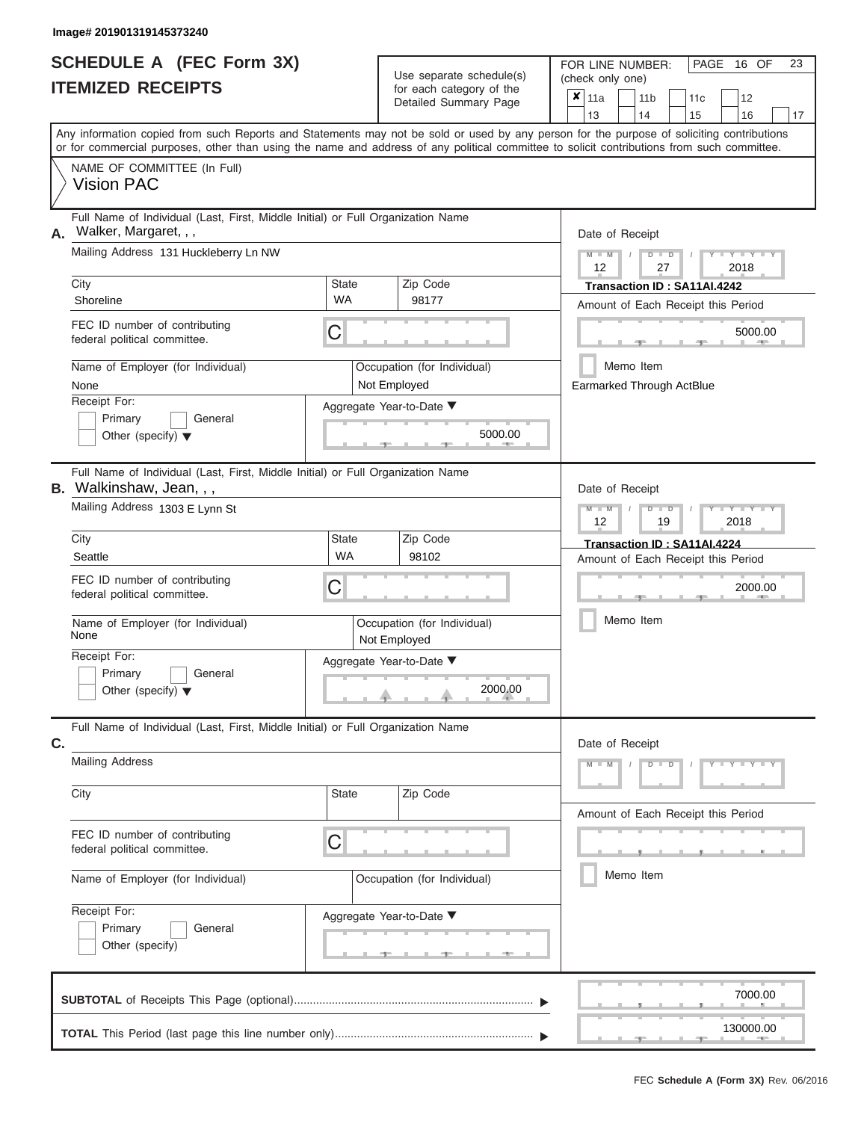|                          | <b>SCHEDULE A (FEC Form 3X)</b> |
|--------------------------|---------------------------------|
| <b>ITEMIZED RECEIPTS</b> |                                 |

Use separate schedule(s) (check only one) for each category of the

FOR LINE NUMBER:<br>(check only one)

PAGE 16 OF 23

| <u>IIEMIZED RECEIPIS</u>                                                                                                                             | for each category of the<br>Detailed Summary Page                                                                                          | ×<br>11a<br>11 <sub>b</sub><br>12<br>11c<br>13<br>15<br>14<br>16<br>17                                                                    |  |  |  |  |  |  |  |  |
|------------------------------------------------------------------------------------------------------------------------------------------------------|--------------------------------------------------------------------------------------------------------------------------------------------|-------------------------------------------------------------------------------------------------------------------------------------------|--|--|--|--|--|--|--|--|
|                                                                                                                                                      | or for commercial purposes, other than using the name and address of any political committee to solicit contributions from such committee. | Any information copied from such Reports and Statements may not be sold or used by any person for the purpose of soliciting contributions |  |  |  |  |  |  |  |  |
| NAME OF COMMITTEE (In Full)<br><b>Vision PAC</b>                                                                                                     |                                                                                                                                            |                                                                                                                                           |  |  |  |  |  |  |  |  |
| Full Name of Individual (Last, First, Middle Initial) or Full Organization Name<br>A. Walker, Margaret, , ,<br>Mailing Address 131 Huckleberry Ln NW |                                                                                                                                            | Date of Receipt<br>$Y = Y$<br>$\overline{\mathbf{M}}$<br>D<br>$\overline{D}$                                                              |  |  |  |  |  |  |  |  |
| City                                                                                                                                                 | Zip Code<br><b>State</b>                                                                                                                   | 27<br>2018<br>12<br>Transaction ID: SA11AI.4242                                                                                           |  |  |  |  |  |  |  |  |
| Shoreline                                                                                                                                            | WA<br>98177                                                                                                                                | Amount of Each Receipt this Period                                                                                                        |  |  |  |  |  |  |  |  |
| FEC ID number of contributing<br>federal political committee.                                                                                        | C                                                                                                                                          | 5000.00                                                                                                                                   |  |  |  |  |  |  |  |  |
| Name of Employer (for Individual)<br>None<br>Receipt For:                                                                                            | Occupation (for Individual)<br>Not Employed                                                                                                | Memo Item<br>Earmarked Through ActBlue                                                                                                    |  |  |  |  |  |  |  |  |
| Primary<br>General<br>Other (specify) $\blacktriangledown$                                                                                           | Aggregate Year-to-Date ▼<br>5000.00                                                                                                        |                                                                                                                                           |  |  |  |  |  |  |  |  |
| Full Name of Individual (Last, First, Middle Initial) or Full Organization Name<br><b>B.</b> Walkinshaw, Jean, , ,                                   |                                                                                                                                            | Date of Receipt                                                                                                                           |  |  |  |  |  |  |  |  |
| Mailing Address 1303 E Lynn St                                                                                                                       |                                                                                                                                            | $Y - Y$<br>$\overline{\mathsf{M}}$<br>$\overline{\mathbf{M}}$<br>D<br>2018<br>12<br>19                                                    |  |  |  |  |  |  |  |  |
| City<br>Seattle                                                                                                                                      | Zip Code<br><b>State</b><br><b>WA</b><br>98102                                                                                             | Transaction ID: SA11AI.4224                                                                                                               |  |  |  |  |  |  |  |  |
| FEC ID number of contributing<br>federal political committee.                                                                                        | С                                                                                                                                          | Amount of Each Receipt this Period<br>2000.00                                                                                             |  |  |  |  |  |  |  |  |
| Name of Employer (for Individual)<br>None                                                                                                            | Occupation (for Individual)<br>Not Employed                                                                                                | Memo Item                                                                                                                                 |  |  |  |  |  |  |  |  |
| Receipt For:<br>Primary<br>General<br>Other (specify) $\blacktriangledown$                                                                           | Aggregate Year-to-Date ▼<br>2000.00                                                                                                        |                                                                                                                                           |  |  |  |  |  |  |  |  |
| Full Name of Individual (Last, First, Middle Initial) or Full Organization Name<br>C.                                                                |                                                                                                                                            | Date of Receipt                                                                                                                           |  |  |  |  |  |  |  |  |
| <b>Mailing Address</b>                                                                                                                               |                                                                                                                                            | Y TYT<br>M<br>D<br>$\overline{D}$                                                                                                         |  |  |  |  |  |  |  |  |
| City                                                                                                                                                 | State<br>Zip Code                                                                                                                          | Amount of Each Receipt this Period                                                                                                        |  |  |  |  |  |  |  |  |
| FEC ID number of contributing<br>federal political committee.                                                                                        | C                                                                                                                                          |                                                                                                                                           |  |  |  |  |  |  |  |  |
| Name of Employer (for Individual)                                                                                                                    | Occupation (for Individual)                                                                                                                | Memo Item                                                                                                                                 |  |  |  |  |  |  |  |  |
| Receipt For:<br>Primary<br>General<br>Other (specify)                                                                                                | Aggregate Year-to-Date ▼                                                                                                                   |                                                                                                                                           |  |  |  |  |  |  |  |  |
|                                                                                                                                                      |                                                                                                                                            | 7000.00                                                                                                                                   |  |  |  |  |  |  |  |  |
|                                                                                                                                                      |                                                                                                                                            | 130000.00                                                                                                                                 |  |  |  |  |  |  |  |  |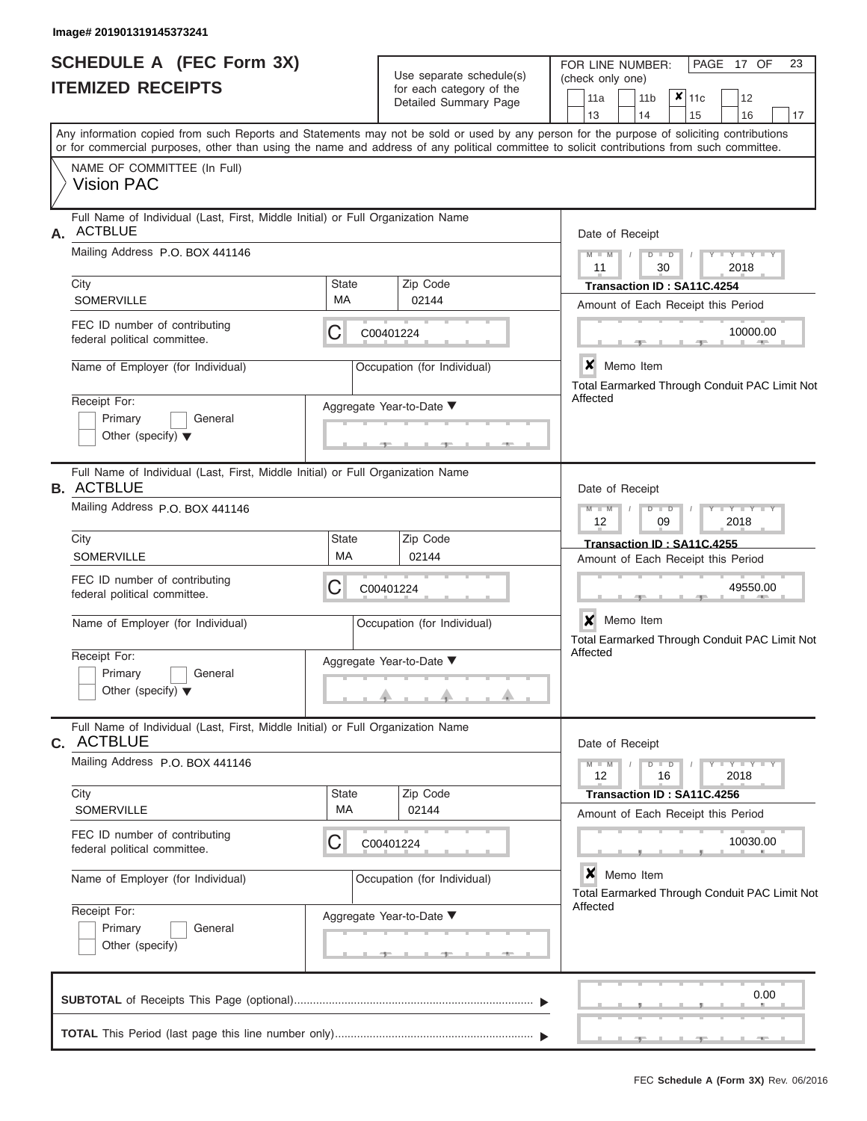|                          | <b>SCHEDULE A (FEC Form 3X)</b> |
|--------------------------|---------------------------------|
| <b>ITEMIZED RECEIPTS</b> |                                 |

Use separate schedule(s)<br>for each category of the

FOR LINE NUMBER:<br>(check only one)

PAGE 17 OF 23

|    |                                                                                                                                            |                    | badii balogoiy of life<br>Detailed Summary Page | $\mathsf{x} _{11c}$<br>11 <sub>b</sub><br>12<br>11a                        |
|----|--------------------------------------------------------------------------------------------------------------------------------------------|--------------------|-------------------------------------------------|----------------------------------------------------------------------------|
|    | Any information copied from such Reports and Statements may not be sold or used by any person for the purpose of soliciting contributions  |                    |                                                 | 14<br>13<br>15<br>16<br>17                                                 |
|    | or for commercial purposes, other than using the name and address of any political committee to solicit contributions from such committee. |                    |                                                 |                                                                            |
|    | NAME OF COMMITTEE (In Full)<br><b>Vision PAC</b>                                                                                           |                    |                                                 |                                                                            |
| А. | Full Name of Individual (Last, First, Middle Initial) or Full Organization Name<br><b>ACTBLUE</b>                                          |                    |                                                 | Date of Receipt                                                            |
|    | Mailing Address P.O. BOX 441146                                                                                                            |                    |                                                 | $M - M$<br>$D$ $D$<br>$Y - Y - I$<br>11<br>2018<br>30                      |
|    | City<br><b>SOMERVILLE</b>                                                                                                                  | <b>State</b><br>МA | Zip Code<br>02144                               | Transaction ID: SA11C.4254<br>Amount of Each Receipt this Period           |
|    | FEC ID number of contributing<br>federal political committee.                                                                              | С                  | C00401224                                       | 10000.00                                                                   |
|    | Name of Employer (for Individual)                                                                                                          |                    | Occupation (for Individual)                     | X Memo Item<br>Total Earmarked Through Conduit PAC Limit Not               |
|    | Receipt For:<br>Primary<br>General<br>Other (specify) $\blacktriangledown$                                                                 |                    | Aggregate Year-to-Date ▼                        | Affected                                                                   |
|    | Full Name of Individual (Last, First, Middle Initial) or Full Organization Name<br><b>B. ACTBLUE</b>                                       |                    |                                                 | Date of Receipt                                                            |
|    | Mailing Address P.O. BOX 441146                                                                                                            |                    |                                                 | $M - M$<br>$Y - Y - I$<br>$D$ $D$<br>12<br>09<br>2018                      |
|    | City<br>SOMERVILLE                                                                                                                         | <b>State</b><br>MA | Zip Code<br>02144                               | Transaction ID: SA11C.4255<br>Amount of Each Receipt this Period           |
|    | FEC ID number of contributing<br>federal political committee.                                                                              | С                  | C00401224                                       | 49550.00                                                                   |
|    | Name of Employer (for Individual)                                                                                                          |                    | Occupation (for Individual)                     | $\mathbf{x}$<br>Memo Item<br>Total Earmarked Through Conduit PAC Limit Not |
|    | Receipt For:<br>Primary<br>General<br>Other (specify) $\blacktriangledown$                                                                 |                    | Aggregate Year-to-Date ▼                        | Affected                                                                   |
|    | Full Name of Individual (Last, First, Middle Initial) or Full Organization Name<br>C. ACTBLUE                                              |                    |                                                 | Date of Receipt                                                            |
|    | Mailing Address P.O. BOX 441146                                                                                                            |                    |                                                 | $M - M$<br>$Y - Y - Y - Y - Y$<br>$D$ $D$<br>16<br>2018<br>12              |
|    | City<br><b>SOMERVILLE</b>                                                                                                                  | <b>State</b><br>МA | Zip Code<br>02144                               | Transaction ID: SA11C.4256<br>Amount of Each Receipt this Period           |
|    | FEC ID number of contributing<br>federal political committee.                                                                              | С                  | C00401224                                       | 10030.00                                                                   |
|    | Name of Employer (for Individual)                                                                                                          |                    | Occupation (for Individual)                     | ×<br>Memo Item<br>Total Earmarked Through Conduit PAC Limit Not            |
|    | Receipt For:<br>Primary<br>General<br>Other (specify)                                                                                      |                    | Aggregate Year-to-Date ▼                        | Affected                                                                   |
|    |                                                                                                                                            |                    |                                                 |                                                                            |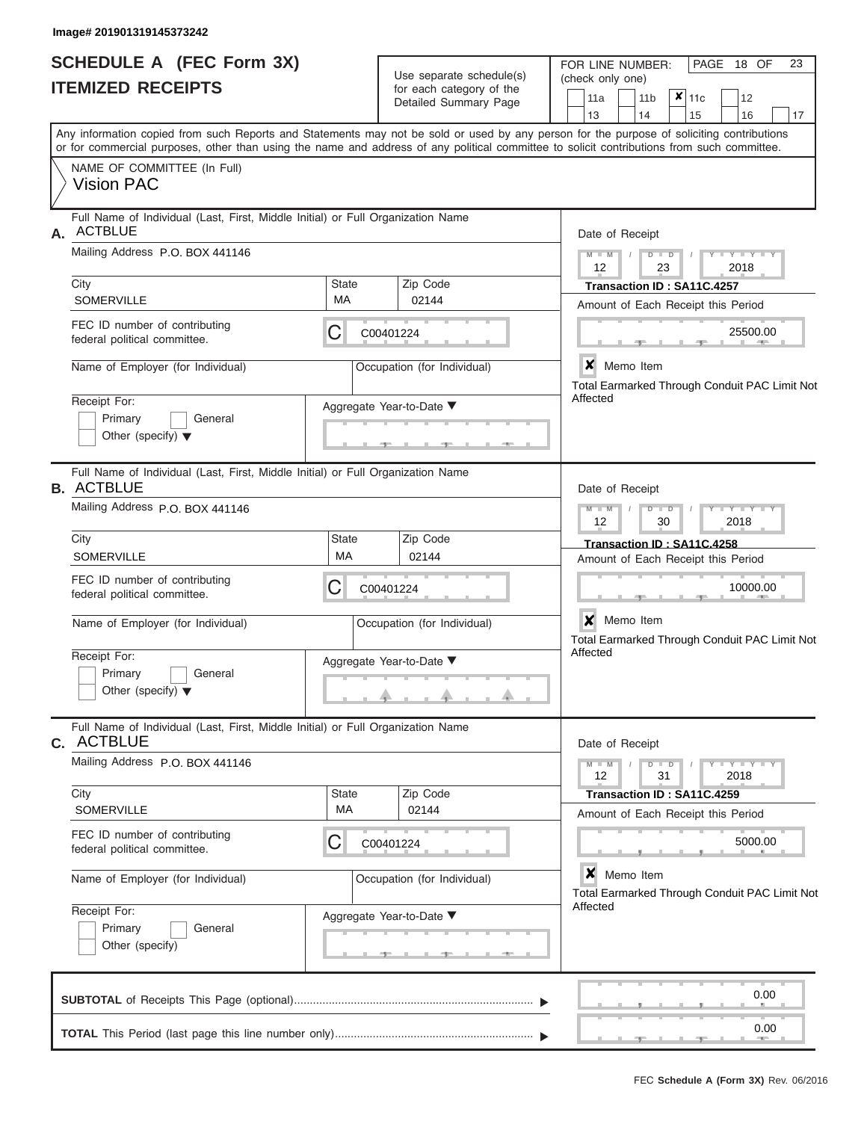|                          | <b>SCHEDULE A (FEC Form 3X)</b> |
|--------------------------|---------------------------------|
| <b>ITEMIZED RECEIPTS</b> |                                 |

Use separate schedule(s)<br>for each category of the

FOR LINE NUMBER:<br>(check only one)

PAGE 18 OF 23

| IILMILLU INLVLII IV                                                                                     |                    | iui cauli calcyuly ul lile<br>Detailed Summary Page | $x _{11c}$<br>12<br>11a<br>11 <sub>b</sub>                                                                                                                                                                                                                                                                            |  |  |  |  |  |  |  |  |
|---------------------------------------------------------------------------------------------------------|--------------------|-----------------------------------------------------|-----------------------------------------------------------------------------------------------------------------------------------------------------------------------------------------------------------------------------------------------------------------------------------------------------------------------|--|--|--|--|--|--|--|--|
|                                                                                                         |                    |                                                     | 13<br>14<br>17<br>15<br>16<br>Any information copied from such Reports and Statements may not be sold or used by any person for the purpose of soliciting contributions<br>or for commercial purposes, other than using the name and address of any political committee to solicit contributions from such committee. |  |  |  |  |  |  |  |  |
| NAME OF COMMITTEE (In Full)<br><b>Vision PAC</b>                                                        |                    |                                                     |                                                                                                                                                                                                                                                                                                                       |  |  |  |  |  |  |  |  |
| Full Name of Individual (Last, First, Middle Initial) or Full Organization Name<br><b>ACTBLUE</b><br>А. |                    |                                                     | Date of Receipt                                                                                                                                                                                                                                                                                                       |  |  |  |  |  |  |  |  |
| Mailing Address P.O. BOX 441146                                                                         |                    |                                                     | $M - M$<br>Y I Y I<br>$D$ $D$<br>12<br>23<br>2018                                                                                                                                                                                                                                                                     |  |  |  |  |  |  |  |  |
| City<br><b>SOMERVILLE</b>                                                                               | <b>State</b><br>MA | Zip Code<br>02144                                   | Transaction ID: SA11C.4257<br>Amount of Each Receipt this Period                                                                                                                                                                                                                                                      |  |  |  |  |  |  |  |  |
| FEC ID number of contributing<br>federal political committee.                                           | C                  | C00401224                                           | 25500.00                                                                                                                                                                                                                                                                                                              |  |  |  |  |  |  |  |  |
| Name of Employer (for Individual)                                                                       |                    | Occupation (for Individual)                         | $\boldsymbol{x}$<br>Memo Item<br>Total Earmarked Through Conduit PAC Limit Not                                                                                                                                                                                                                                        |  |  |  |  |  |  |  |  |
| Receipt For:<br>Primary<br>General<br>Other (specify) $\blacktriangledown$                              |                    | Aggregate Year-to-Date ▼                            | Affected                                                                                                                                                                                                                                                                                                              |  |  |  |  |  |  |  |  |
| Full Name of Individual (Last, First, Middle Initial) or Full Organization Name<br><b>B. ACTBLUE</b>    |                    |                                                     | Date of Receipt                                                                                                                                                                                                                                                                                                       |  |  |  |  |  |  |  |  |
| Mailing Address P.O. BOX 441146                                                                         |                    |                                                     | $M - M$<br>$\overline{Y}$<br>$D$ $D$<br>12<br>30<br>2018                                                                                                                                                                                                                                                              |  |  |  |  |  |  |  |  |
| City<br><b>SOMERVILLE</b>                                                                               | State<br><b>MA</b> | Zip Code<br>02144                                   | Transaction ID: SA11C.4258<br>Amount of Each Receipt this Period                                                                                                                                                                                                                                                      |  |  |  |  |  |  |  |  |
| FEC ID number of contributing<br>federal political committee.                                           | С                  | C00401224                                           | 10000.00                                                                                                                                                                                                                                                                                                              |  |  |  |  |  |  |  |  |
| Name of Employer (for Individual)                                                                       |                    | Occupation (for Individual)                         | $\boldsymbol{x}$<br>Memo Item<br>Total Earmarked Through Conduit PAC Limit Not                                                                                                                                                                                                                                        |  |  |  |  |  |  |  |  |
| Receipt For:<br>Primary<br>General<br>Other (specify) $\blacktriangledown$                              |                    | Aggregate Year-to-Date ▼                            | Affected                                                                                                                                                                                                                                                                                                              |  |  |  |  |  |  |  |  |
| Full Name of Individual (Last, First, Middle Initial) or Full Organization Name<br><b>ACTBLUE</b><br>С. |                    |                                                     | Date of Receipt                                                                                                                                                                                                                                                                                                       |  |  |  |  |  |  |  |  |
| Mailing Address P.O. BOX 441146                                                                         |                    |                                                     | $M - M$<br>$+Y+Y+Y$<br>$\overline{D}$<br>$\overline{D}$<br>31<br>2018<br>12                                                                                                                                                                                                                                           |  |  |  |  |  |  |  |  |
| City<br><b>SOMERVILLE</b>                                                                               | <b>State</b><br>МA | Zip Code<br>02144                                   | Transaction ID: SA11C.4259<br>Amount of Each Receipt this Period                                                                                                                                                                                                                                                      |  |  |  |  |  |  |  |  |
| FEC ID number of contributing<br>federal political committee.                                           | С                  | C00401224                                           | 5000.00                                                                                                                                                                                                                                                                                                               |  |  |  |  |  |  |  |  |
| Name of Employer (for Individual)                                                                       |                    | Occupation (for Individual)                         | $\boldsymbol{x}$<br>Memo Item<br>Total Earmarked Through Conduit PAC Limit Not<br>Affected                                                                                                                                                                                                                            |  |  |  |  |  |  |  |  |
| Receipt For:<br>Primary<br>General<br>Other (specify)                                                   |                    | Aggregate Year-to-Date ▼                            |                                                                                                                                                                                                                                                                                                                       |  |  |  |  |  |  |  |  |
|                                                                                                         |                    |                                                     | 0.00                                                                                                                                                                                                                                                                                                                  |  |  |  |  |  |  |  |  |
|                                                                                                         |                    |                                                     | 0.00                                                                                                                                                                                                                                                                                                                  |  |  |  |  |  |  |  |  |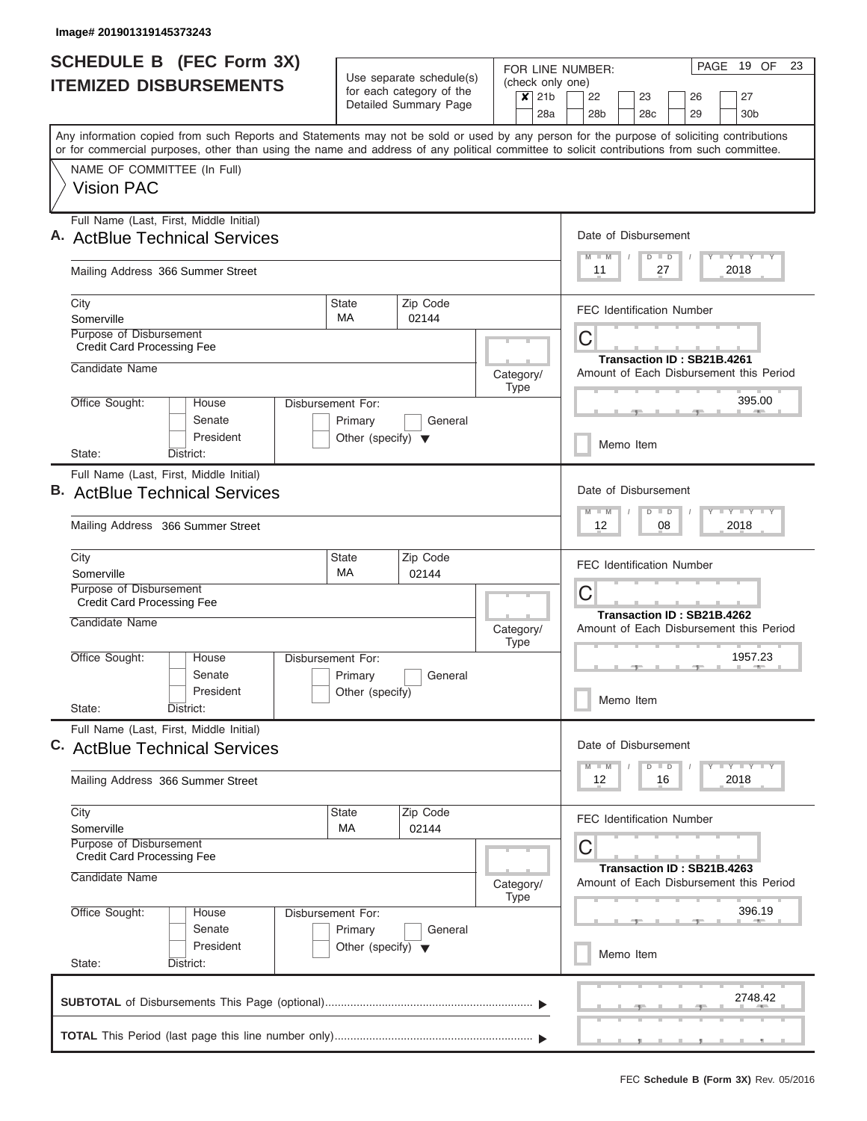| <b>SCHEDULE B</b> (FEC Form 3X)                                                                                                                                                                                                                                                         |                                      |                                                      |  |                                              | PAGE 19 OF<br>23<br>FOR LINE NUMBER:                          |  |  |  |  |  |  |  |
|-----------------------------------------------------------------------------------------------------------------------------------------------------------------------------------------------------------------------------------------------------------------------------------------|--------------------------------------|------------------------------------------------------|--|----------------------------------------------|---------------------------------------------------------------|--|--|--|--|--|--|--|
| <b>ITEMIZED DISBURSEMENTS</b>                                                                                                                                                                                                                                                           |                                      | Use separate schedule(s)<br>for each category of the |  |                                              | (check only one)                                              |  |  |  |  |  |  |  |
|                                                                                                                                                                                                                                                                                         |                                      | Detailed Summary Page                                |  | 21 <sub>b</sub><br>$\boldsymbol{\mathsf{x}}$ | 22<br>27<br>23<br>26<br>28c                                   |  |  |  |  |  |  |  |
|                                                                                                                                                                                                                                                                                         |                                      |                                                      |  | 28a                                          | 28 <sub>b</sub><br>29<br>30 <sub>b</sub>                      |  |  |  |  |  |  |  |
| Any information copied from such Reports and Statements may not be sold or used by any person for the purpose of soliciting contributions<br>or for commercial purposes, other than using the name and address of any political committee to solicit contributions from such committee. |                                      |                                                      |  |                                              |                                                               |  |  |  |  |  |  |  |
| NAME OF COMMITTEE (In Full)                                                                                                                                                                                                                                                             |                                      |                                                      |  |                                              |                                                               |  |  |  |  |  |  |  |
| <b>Vision PAC</b>                                                                                                                                                                                                                                                                       |                                      |                                                      |  |                                              |                                                               |  |  |  |  |  |  |  |
| Full Name (Last, First, Middle Initial)<br>A. ActBlue Technical Services                                                                                                                                                                                                                |                                      |                                                      |  |                                              | Date of Disbursement                                          |  |  |  |  |  |  |  |
|                                                                                                                                                                                                                                                                                         |                                      |                                                      |  |                                              | Y L Y L Y L Y<br>$M$ $M$<br>$D$ $D$                           |  |  |  |  |  |  |  |
| Mailing Address 366 Summer Street                                                                                                                                                                                                                                                       |                                      |                                                      |  |                                              | 11<br>27<br>2018                                              |  |  |  |  |  |  |  |
| City<br>Somerville                                                                                                                                                                                                                                                                      | <b>State</b><br><b>MA</b>            | Zip Code<br>02144                                    |  |                                              | <b>FEC Identification Number</b>                              |  |  |  |  |  |  |  |
| Purpose of Disbursement                                                                                                                                                                                                                                                                 |                                      |                                                      |  |                                              | C                                                             |  |  |  |  |  |  |  |
| <b>Credit Card Processing Fee</b>                                                                                                                                                                                                                                                       |                                      |                                                      |  |                                              | Transaction ID: SB21B.4261                                    |  |  |  |  |  |  |  |
| Candidate Name                                                                                                                                                                                                                                                                          |                                      |                                                      |  | Category/<br><b>Type</b>                     | Amount of Each Disbursement this Period                       |  |  |  |  |  |  |  |
| Office Sought:<br>House                                                                                                                                                                                                                                                                 | Disbursement For:                    |                                                      |  |                                              | 395.00                                                        |  |  |  |  |  |  |  |
| Senate                                                                                                                                                                                                                                                                                  | Primary                              | General                                              |  |                                              |                                                               |  |  |  |  |  |  |  |
| President<br>State:<br>District:                                                                                                                                                                                                                                                        | Other (specify) $\blacktriangledown$ |                                                      |  |                                              | Memo Item                                                     |  |  |  |  |  |  |  |
| Full Name (Last, First, Middle Initial)                                                                                                                                                                                                                                                 |                                      |                                                      |  |                                              |                                                               |  |  |  |  |  |  |  |
| <b>B.</b> ActBlue Technical Services                                                                                                                                                                                                                                                    |                                      |                                                      |  |                                              | Date of Disbursement                                          |  |  |  |  |  |  |  |
| Mailing Address 366 Summer Street                                                                                                                                                                                                                                                       |                                      |                                                      |  |                                              | Y FY FY FY<br>$D$ $D$<br>$M - M$<br>08<br>2018<br>12          |  |  |  |  |  |  |  |
|                                                                                                                                                                                                                                                                                         |                                      |                                                      |  |                                              |                                                               |  |  |  |  |  |  |  |
| City                                                                                                                                                                                                                                                                                    | State<br><b>MA</b>                   | Zip Code                                             |  |                                              | <b>FEC Identification Number</b>                              |  |  |  |  |  |  |  |
| Somerville<br>Purpose of Disbursement                                                                                                                                                                                                                                                   |                                      | 02144                                                |  |                                              | C                                                             |  |  |  |  |  |  |  |
| <b>Credit Card Processing Fee</b>                                                                                                                                                                                                                                                       |                                      |                                                      |  |                                              | Transaction ID: SB21B.4262                                    |  |  |  |  |  |  |  |
| Candidate Name                                                                                                                                                                                                                                                                          |                                      |                                                      |  | Category/<br><b>Type</b>                     | Amount of Each Disbursement this Period                       |  |  |  |  |  |  |  |
| Office Sought:<br>House                                                                                                                                                                                                                                                                 | Disbursement For:                    |                                                      |  |                                              | 1957.23                                                       |  |  |  |  |  |  |  |
| Senate                                                                                                                                                                                                                                                                                  | Primary                              | General                                              |  |                                              |                                                               |  |  |  |  |  |  |  |
| President<br>State:<br>District:                                                                                                                                                                                                                                                        | Other (specify)                      |                                                      |  |                                              | Memo Item                                                     |  |  |  |  |  |  |  |
| Full Name (Last, First, Middle Initial)                                                                                                                                                                                                                                                 |                                      |                                                      |  |                                              |                                                               |  |  |  |  |  |  |  |
| C. ActBlue Technical Services                                                                                                                                                                                                                                                           |                                      |                                                      |  |                                              | Date of Disbursement                                          |  |  |  |  |  |  |  |
| Mailing Address 366 Summer Street                                                                                                                                                                                                                                                       |                                      |                                                      |  |                                              | $Y$ $Y$ $Y$ $Y$ $Y$<br>$M$ $M$<br>$D$ $D$<br>12<br>2018<br>16 |  |  |  |  |  |  |  |
| City                                                                                                                                                                                                                                                                                    | State                                | Zip Code                                             |  |                                              | <b>FEC Identification Number</b>                              |  |  |  |  |  |  |  |
| Somerville<br>Purpose of Disbursement                                                                                                                                                                                                                                                   | MA                                   | 02144                                                |  |                                              |                                                               |  |  |  |  |  |  |  |
| <b>Credit Card Processing Fee</b>                                                                                                                                                                                                                                                       |                                      |                                                      |  |                                              | С<br>Transaction ID: SB21B.4263                               |  |  |  |  |  |  |  |
| Candidate Name                                                                                                                                                                                                                                                                          | Category/<br><b>Type</b>             | Amount of Each Disbursement this Period              |  |                                              |                                                               |  |  |  |  |  |  |  |
| Office Sought:<br>House                                                                                                                                                                                                                                                                 | Disbursement For:                    |                                                      |  |                                              | 396.19                                                        |  |  |  |  |  |  |  |
| Senate                                                                                                                                                                                                                                                                                  | Primary                              | General                                              |  |                                              |                                                               |  |  |  |  |  |  |  |
| President<br>State:<br>District:                                                                                                                                                                                                                                                        | Other (specify) $\blacktriangledown$ |                                                      |  |                                              | Memo Item                                                     |  |  |  |  |  |  |  |
|                                                                                                                                                                                                                                                                                         |                                      |                                                      |  |                                              | 2748.42                                                       |  |  |  |  |  |  |  |
|                                                                                                                                                                                                                                                                                         |                                      |                                                      |  |                                              |                                                               |  |  |  |  |  |  |  |
|                                                                                                                                                                                                                                                                                         |                                      |                                                      |  |                                              | <u>, , , , , , , , , , , , , , , ,</u>                        |  |  |  |  |  |  |  |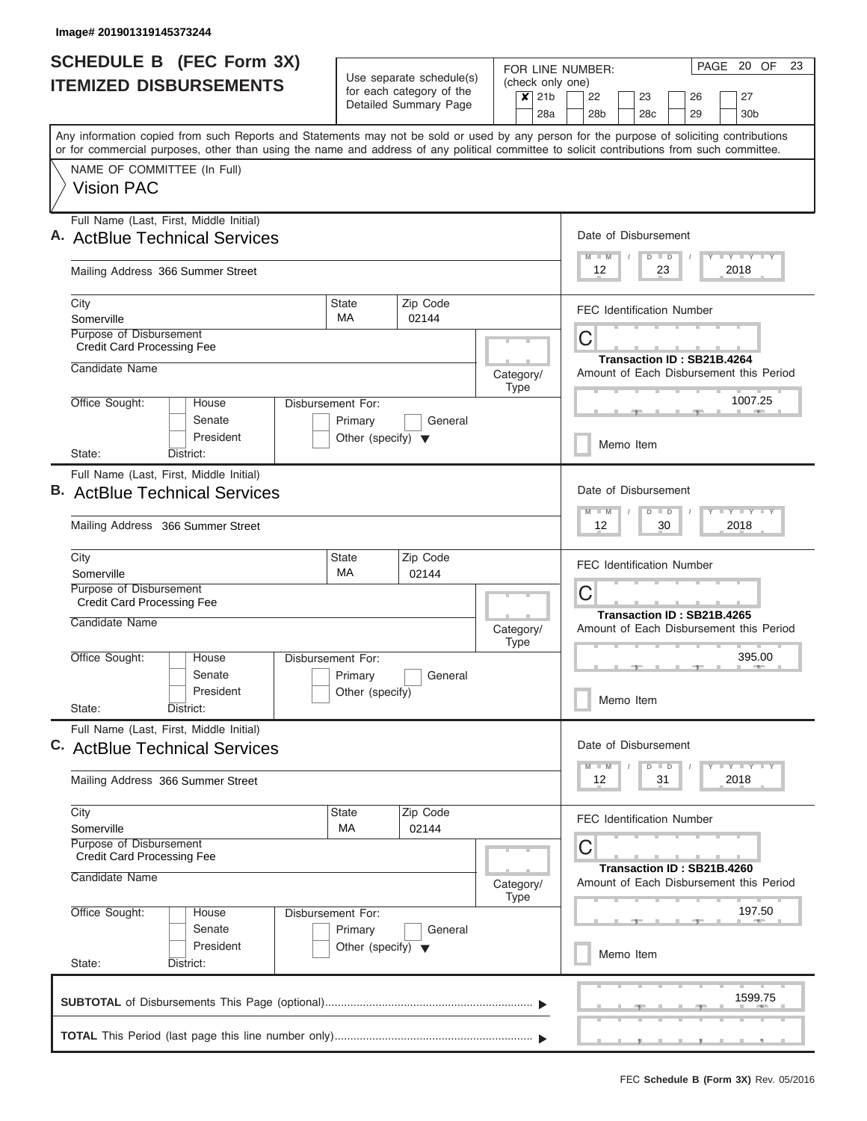I

|                                                                          | <b>SCHEDULE B (FEC Form 3X)</b>                                                                                      |                              |  | Use separate schedule(s) |                                                                      |                                                                                                                                                                                                                                                                                         |           |                             | PAGE 20 OF<br>FOR LINE NUMBER: |                                                                                                                                                   |        |                                         |                      |                            |  |                                                                             |  |  |
|--------------------------------------------------------------------------|----------------------------------------------------------------------------------------------------------------------|------------------------------|--|--------------------------|----------------------------------------------------------------------|-----------------------------------------------------------------------------------------------------------------------------------------------------------------------------------------------------------------------------------------------------------------------------------------|-----------|-----------------------------|--------------------------------|---------------------------------------------------------------------------------------------------------------------------------------------------|--------|-----------------------------------------|----------------------|----------------------------|--|-----------------------------------------------------------------------------|--|--|
| <b>ITEMIZED DISBURSEMENTS</b>                                            |                                                                                                                      |                              |  |                          | for each category of the                                             |                                                                                                                                                                                                                                                                                         |           | (check only one)<br>$x$ 21b | 22<br>23<br>26<br>27           |                                                                                                                                                   |        |                                         |                      |                            |  |                                                                             |  |  |
|                                                                          |                                                                                                                      |                              |  |                          |                                                                      | Detailed Summary Page                                                                                                                                                                                                                                                                   |           |                             | 28a                            | 28 <sub>b</sub>                                                                                                                                   |        | 28 <sub>c</sub>                         |                      | 29                         |  | 30 <sub>b</sub>                                                             |  |  |
|                                                                          |                                                                                                                      |                              |  |                          |                                                                      | Any information copied from such Reports and Statements may not be sold or used by any person for the purpose of soliciting contributions<br>or for commercial purposes, other than using the name and address of any political committee to solicit contributions from such committee. |           |                             |                                |                                                                                                                                                   |        |                                         |                      |                            |  |                                                                             |  |  |
| NAME OF COMMITTEE (In Full)<br><b>Vision PAC</b>                         |                                                                                                                      |                              |  |                          |                                                                      |                                                                                                                                                                                                                                                                                         |           |                             |                                |                                                                                                                                                   |        |                                         |                      |                            |  |                                                                             |  |  |
|                                                                          |                                                                                                                      |                              |  |                          |                                                                      |                                                                                                                                                                                                                                                                                         |           |                             |                                |                                                                                                                                                   |        |                                         |                      |                            |  |                                                                             |  |  |
| Full Name (Last, First, Middle Initial)<br>A. ActBlue Technical Services |                                                                                                                      |                              |  |                          |                                                                      |                                                                                                                                                                                                                                                                                         |           |                             |                                | Date of Disbursement<br>$M - M$                                                                                                                   |        | $D$ $D$                                 |                      | $\overline{1}$             |  | Y LY LY LY                                                                  |  |  |
|                                                                          | Mailing Address 366 Summer Street                                                                                    |                              |  |                          |                                                                      |                                                                                                                                                                                                                                                                                         |           |                             |                                | 12                                                                                                                                                |        |                                         | 23                   |                            |  | 2018                                                                        |  |  |
| City<br>Somerville                                                       |                                                                                                                      |                              |  |                          | <b>State</b><br><b>MA</b>                                            | Zip Code                                                                                                                                                                                                                                                                                |           |                             |                                | <b>FEC Identification Number</b>                                                                                                                  |        |                                         |                      |                            |  |                                                                             |  |  |
|                                                                          | Purpose of Disbursement<br><b>Credit Card Processing Fee</b>                                                         |                              |  |                          |                                                                      | 02144                                                                                                                                                                                                                                                                                   |           |                             |                                | C                                                                                                                                                 |        |                                         |                      |                            |  |                                                                             |  |  |
|                                                                          | Candidate Name                                                                                                       |                              |  |                          |                                                                      |                                                                                                                                                                                                                                                                                         | Category/ | Type                        |                                | Amount of Each Disbursement this Period                                                                                                           |        |                                         |                      | Transaction ID: SB21B.4264 |  |                                                                             |  |  |
|                                                                          | Office Sought:                                                                                                       | House<br>Senate<br>President |  |                          | Disbursement For:<br>Primary<br>Other (specify) $\blacktriangledown$ | General                                                                                                                                                                                                                                                                                 |           |                             |                                |                                                                                                                                                   |        |                                         |                      |                            |  | 1007.25                                                                     |  |  |
| State:                                                                   |                                                                                                                      | District:                    |  |                          |                                                                      |                                                                                                                                                                                                                                                                                         |           |                             |                                |                                                                                                                                                   |        | Memo Item                               |                      |                            |  |                                                                             |  |  |
|                                                                          | Full Name (Last, First, Middle Initial)<br><b>B.</b> ActBlue Technical Services<br>Mailing Address 366 Summer Street |                              |  |                          |                                                                      |                                                                                                                                                                                                                                                                                         |           |                             |                                | Date of Disbursement<br>$\mathbf{I} = \mathbf{Y} - \mathbf{I} - \mathbf{Y} - \mathbf{I} - \mathbf{Y}$<br>$-M$<br>$D$ $D$<br>M<br>12<br>30<br>2018 |        |                                         |                      |                            |  |                                                                             |  |  |
| City                                                                     |                                                                                                                      |                              |  |                          | <b>State</b>                                                         | Zip Code                                                                                                                                                                                                                                                                                |           |                             |                                |                                                                                                                                                   |        |                                         |                      |                            |  |                                                                             |  |  |
| Somerville                                                               |                                                                                                                      |                              |  |                          | МA                                                                   | 02144                                                                                                                                                                                                                                                                                   |           |                             |                                | <b>FEC Identification Number</b>                                                                                                                  |        |                                         |                      |                            |  |                                                                             |  |  |
|                                                                          | Purpose of Disbursement<br><b>Credit Card Processing Fee</b><br>Candidate Name                                       |                              |  |                          |                                                                      |                                                                                                                                                                                                                                                                                         |           |                             |                                | C<br>Transaction ID: SB21B.4265                                                                                                                   |        |                                         |                      |                            |  |                                                                             |  |  |
|                                                                          |                                                                                                                      |                              |  |                          |                                                                      | Category/<br><b>Type</b>                                                                                                                                                                                                                                                                |           |                             |                                |                                                                                                                                                   |        | Amount of Each Disbursement this Period |                      |                            |  |                                                                             |  |  |
|                                                                          | Office Sought:                                                                                                       | House<br>Senate              |  |                          | Disbursement For:<br>Primary                                         | General                                                                                                                                                                                                                                                                                 |           |                             |                                |                                                                                                                                                   | 395.00 |                                         |                      |                            |  |                                                                             |  |  |
| State:                                                                   |                                                                                                                      | President<br>District:       |  |                          | Other (specify)                                                      |                                                                                                                                                                                                                                                                                         |           |                             |                                | Memo Item                                                                                                                                         |        |                                         |                      |                            |  |                                                                             |  |  |
|                                                                          | Full Name (Last, First, Middle Initial)<br>C. ActBlue Technical Services                                             |                              |  |                          |                                                                      |                                                                                                                                                                                                                                                                                         |           |                             |                                | Date of Disbursement                                                                                                                              |        |                                         |                      |                            |  |                                                                             |  |  |
|                                                                          | Mailing Address 366 Summer Street                                                                                    |                              |  |                          |                                                                      |                                                                                                                                                                                                                                                                                         |           |                             |                                | M<br>12                                                                                                                                           |        | D                                       | $\blacksquare$<br>31 |                            |  | $\mathbb{L} \mathbf{Y} \mathbb{L} \mathbf{Y} \mathbb{L} \mathbf{Y}$<br>2018 |  |  |
| City<br>Somerville                                                       |                                                                                                                      |                              |  |                          | State<br>МA                                                          | Zip Code<br>02144                                                                                                                                                                                                                                                                       |           |                             |                                | <b>FEC Identification Number</b>                                                                                                                  |        |                                         |                      |                            |  |                                                                             |  |  |
|                                                                          | <b>Purpose of Disbursement</b><br><b>Credit Card Processing Fee</b>                                                  |                              |  |                          |                                                                      |                                                                                                                                                                                                                                                                                         |           |                             |                                | C                                                                                                                                                 |        |                                         |                      | Transaction ID: SB21B.4260 |  |                                                                             |  |  |
|                                                                          | Candidate Name                                                                                                       |                              |  |                          |                                                                      |                                                                                                                                                                                                                                                                                         | Category/ | Type                        |                                | Amount of Each Disbursement this Period                                                                                                           |        |                                         |                      |                            |  |                                                                             |  |  |
|                                                                          | Office Sought:                                                                                                       | House<br>Senate              |  |                          | Disbursement For:<br>Primary                                         | General                                                                                                                                                                                                                                                                                 |           |                             |                                |                                                                                                                                                   |        |                                         |                      |                            |  | 197.50                                                                      |  |  |
| State:                                                                   |                                                                                                                      | President<br>District:       |  |                          | Other (specify) $\blacktriangledown$                                 |                                                                                                                                                                                                                                                                                         |           |                             |                                | Memo Item                                                                                                                                         |        |                                         |                      |                            |  |                                                                             |  |  |
|                                                                          |                                                                                                                      |                              |  |                          |                                                                      |                                                                                                                                                                                                                                                                                         |           |                             |                                |                                                                                                                                                   |        |                                         |                      |                            |  | 1599.75                                                                     |  |  |
|                                                                          |                                                                                                                      |                              |  |                          |                                                                      |                                                                                                                                                                                                                                                                                         |           |                             |                                |                                                                                                                                                   |        |                                         |                      |                            |  |                                                                             |  |  |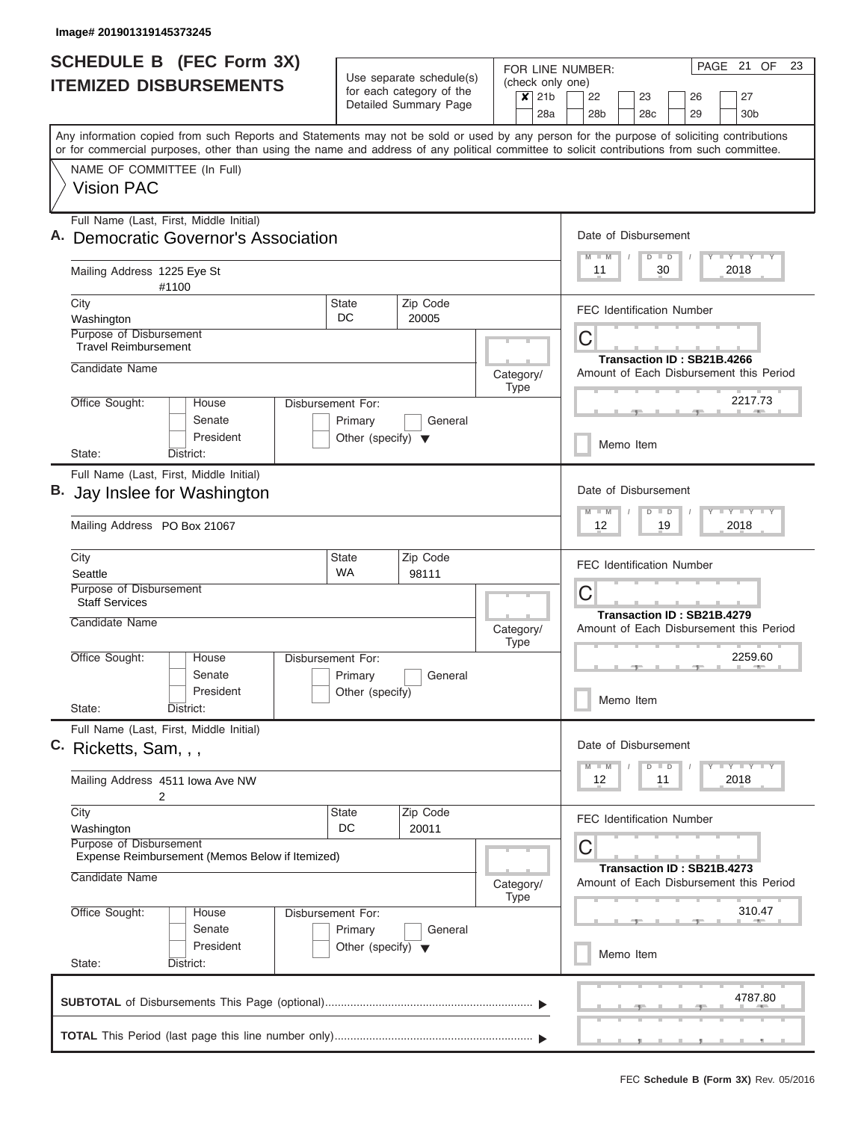| <b>SCHEDULE B (FEC Form 3X)</b>                                                                                                                                                                                                                                                         |                                                                      |                                                                               | FOR LINE NUMBER:                                           | PAGE 21 OF<br>23                                                                    |  |  |  |  |  |  |  |
|-----------------------------------------------------------------------------------------------------------------------------------------------------------------------------------------------------------------------------------------------------------------------------------------|----------------------------------------------------------------------|-------------------------------------------------------------------------------|------------------------------------------------------------|-------------------------------------------------------------------------------------|--|--|--|--|--|--|--|
| <b>ITEMIZED DISBURSEMENTS</b>                                                                                                                                                                                                                                                           |                                                                      | Use separate schedule(s)<br>for each category of the<br>Detailed Summary Page | (check only one)<br>$\mathsf{x}$<br>21 <sub>b</sub><br>28a | 22<br>23<br>26<br>27<br>28 <sub>b</sub><br>28 <sub>c</sub><br>30 <sub>b</sub><br>29 |  |  |  |  |  |  |  |
| Any information copied from such Reports and Statements may not be sold or used by any person for the purpose of soliciting contributions<br>or for commercial purposes, other than using the name and address of any political committee to solicit contributions from such committee. |                                                                      |                                                                               |                                                            |                                                                                     |  |  |  |  |  |  |  |
| NAME OF COMMITTEE (In Full)<br><b>Vision PAC</b>                                                                                                                                                                                                                                        |                                                                      |                                                                               |                                                            |                                                                                     |  |  |  |  |  |  |  |
| Full Name (Last, First, Middle Initial)<br><b>Democratic Governor's Association</b>                                                                                                                                                                                                     |                                                                      | Date of Disbursement<br>Y FY FY FY<br>$D$ $D$<br>$M$ $M$                      |                                                            |                                                                                     |  |  |  |  |  |  |  |
| Mailing Address 1225 Eye St<br>#1100                                                                                                                                                                                                                                                    |                                                                      |                                                                               |                                                            | 30<br>2018<br>11                                                                    |  |  |  |  |  |  |  |
| City<br>Washington                                                                                                                                                                                                                                                                      | State<br>DC                                                          | Zip Code<br>20005                                                             |                                                            | <b>FEC Identification Number</b>                                                    |  |  |  |  |  |  |  |
| Purpose of Disbursement<br><b>Travel Reimbursement</b>                                                                                                                                                                                                                                  |                                                                      |                                                                               |                                                            | C<br>Transaction ID: SB21B.4266                                                     |  |  |  |  |  |  |  |
| Candidate Name                                                                                                                                                                                                                                                                          |                                                                      |                                                                               | Category/<br><b>Type</b>                                   | Amount of Each Disbursement this Period                                             |  |  |  |  |  |  |  |
| Office Sought:<br>House<br>Senate<br>President                                                                                                                                                                                                                                          | Disbursement For:<br>Primary<br>Other (specify) $\blacktriangledown$ | General                                                                       |                                                            | 2217.73                                                                             |  |  |  |  |  |  |  |
| State:<br>District:                                                                                                                                                                                                                                                                     |                                                                      |                                                                               |                                                            | Memo Item                                                                           |  |  |  |  |  |  |  |
| Full Name (Last, First, Middle Initial)<br>Jay Inslee for Washington                                                                                                                                                                                                                    |                                                                      |                                                                               |                                                            | Date of Disbursement<br>Y FY FY FY<br>$M - M$<br>$D$ $D$                            |  |  |  |  |  |  |  |
| Mailing Address PO Box 21067                                                                                                                                                                                                                                                            |                                                                      |                                                                               |                                                            | 12<br>19<br>2018                                                                    |  |  |  |  |  |  |  |
| City<br>Seattle                                                                                                                                                                                                                                                                         | <b>State</b><br><b>WA</b>                                            | Zip Code<br>98111                                                             |                                                            | <b>FEC Identification Number</b>                                                    |  |  |  |  |  |  |  |
| Purpose of Disbursement<br><b>Staff Services</b><br>Candidate Name                                                                                                                                                                                                                      |                                                                      |                                                                               |                                                            | C<br>Transaction ID: SB21B.4279                                                     |  |  |  |  |  |  |  |
| Office Sought:<br>House                                                                                                                                                                                                                                                                 |                                                                      |                                                                               | Category/<br><b>Type</b>                                   | Amount of Each Disbursement this Period<br>2259.60                                  |  |  |  |  |  |  |  |
| Senate<br>President                                                                                                                                                                                                                                                                     | Disbursement For:<br>Primary<br>Other (specify)                      | General                                                                       |                                                            | Memo Item                                                                           |  |  |  |  |  |  |  |
| State:<br>District:<br>Full Name (Last, First, Middle Initial)<br>C. Ricketts, Sam, , ,                                                                                                                                                                                                 |                                                                      |                                                                               |                                                            | Date of Disbursement                                                                |  |  |  |  |  |  |  |
| Mailing Address 4511 Iowa Ave NW<br>2                                                                                                                                                                                                                                                   |                                                                      |                                                                               |                                                            | Y TY TY TY<br>$M$ $M$<br>$D$ $D$<br>12<br>2018<br>11                                |  |  |  |  |  |  |  |
| City<br>Washington<br>Purpose of Disbursement<br>Expense Reimbursement (Memos Below if Itemized)                                                                                                                                                                                        | State<br>DC                                                          | Zip Code<br>20011                                                             |                                                            | <b>FEC Identification Number</b><br>С                                               |  |  |  |  |  |  |  |
| Candidate Name                                                                                                                                                                                                                                                                          |                                                                      |                                                                               | Category/<br>Type                                          | Transaction ID: SB21B.4273<br>Amount of Each Disbursement this Period               |  |  |  |  |  |  |  |
| Office Sought:<br>House<br>Senate                                                                                                                                                                                                                                                       | Disbursement For:<br>Primary                                         | General                                                                       |                                                            | 310.47                                                                              |  |  |  |  |  |  |  |
| President<br>State:<br>District:                                                                                                                                                                                                                                                        | Other (specify) $\blacktriangledown$                                 |                                                                               |                                                            | Memo Item                                                                           |  |  |  |  |  |  |  |
|                                                                                                                                                                                                                                                                                         |                                                                      |                                                                               |                                                            | 4787.80                                                                             |  |  |  |  |  |  |  |
|                                                                                                                                                                                                                                                                                         |                                                                      |                                                                               |                                                            |                                                                                     |  |  |  |  |  |  |  |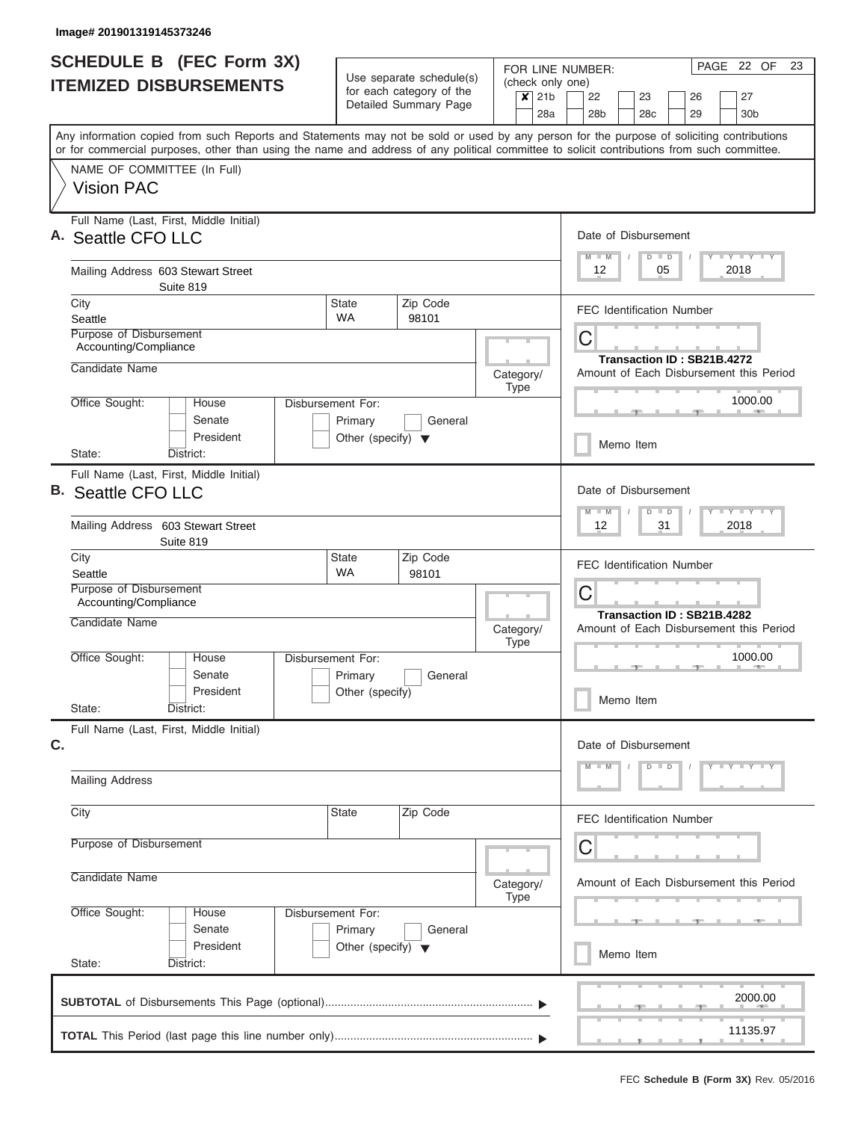| <b>SCHEDULE B</b> (FEC Form 3X)<br><b>ITEMIZED DISBURSEMENTS</b>                                                                                                                                                                                                                        | Use separate schedule(s)                                             |                                                               |                                                                     |                                 | PAGE 22 OF<br>23<br>FOR LINE NUMBER:<br>(check only one) |                  |                       |  |                                  |         |  |                                         |                            |                                                    |  |
|-----------------------------------------------------------------------------------------------------------------------------------------------------------------------------------------------------------------------------------------------------------------------------------------|----------------------------------------------------------------------|---------------------------------------------------------------|---------------------------------------------------------------------|---------------------------------|----------------------------------------------------------|------------------|-----------------------|--|----------------------------------|---------|--|-----------------------------------------|----------------------------|----------------------------------------------------|--|
|                                                                                                                                                                                                                                                                                         |                                                                      | for each category of the<br>Detailed Summary Page             |                                                                     | $x$ 21b                         | 28a                                                      |                  | 22<br>28 <sub>b</sub> |  | 23<br>28 <sub>c</sub>            |         |  | 26<br>29                                |                            | 27<br>30 <sub>b</sub>                              |  |
| Any information copied from such Reports and Statements may not be sold or used by any person for the purpose of soliciting contributions<br>or for commercial purposes, other than using the name and address of any political committee to solicit contributions from such committee. |                                                                      |                                                               |                                                                     |                                 |                                                          |                  |                       |  |                                  |         |  |                                         |                            |                                                    |  |
| NAME OF COMMITTEE (In Full)<br><b>Vision PAC</b>                                                                                                                                                                                                                                        |                                                                      |                                                               |                                                                     |                                 |                                                          |                  |                       |  |                                  |         |  |                                         |                            |                                                    |  |
| Full Name (Last, First, Middle Initial)<br>A. Seattle CFO LLC                                                                                                                                                                                                                           |                                                                      | Date of Disbursement<br>$Y = Y = Y + Y$<br>$M - M$<br>$D$ $D$ |                                                                     |                                 |                                                          |                  |                       |  |                                  |         |  |                                         |                            |                                                    |  |
| Mailing Address 603 Stewart Street<br>Suite 819                                                                                                                                                                                                                                         |                                                                      |                                                               |                                                                     |                                 |                                                          |                  | 12                    |  |                                  | 05      |  |                                         |                            | 2018                                               |  |
| City<br>Seattle                                                                                                                                                                                                                                                                         | <b>State</b><br><b>WA</b>                                            | Zip Code<br>98101                                             |                                                                     |                                 |                                                          |                  |                       |  | <b>FEC Identification Number</b> |         |  |                                         |                            |                                                    |  |
| Purpose of Disbursement<br>Accounting/Compliance                                                                                                                                                                                                                                        |                                                                      |                                                               |                                                                     |                                 |                                                          | С                |                       |  |                                  |         |  |                                         | Transaction ID: SB21B.4272 |                                                    |  |
| Candidate Name                                                                                                                                                                                                                                                                          |                                                                      |                                                               | Category/                                                           | <b>Type</b>                     |                                                          |                  |                       |  |                                  |         |  |                                         |                            | Amount of Each Disbursement this Period<br>1000.00 |  |
| Office Sought:<br>House<br>Senate<br>President                                                                                                                                                                                                                                          | Disbursement For:<br>Primary<br>Other (specify) $\blacktriangledown$ | General                                                       |                                                                     |                                 |                                                          |                  |                       |  | Memo Item                        |         |  |                                         |                            |                                                    |  |
| District:<br>State:<br>Full Name (Last, First, Middle Initial)                                                                                                                                                                                                                          |                                                                      |                                                               |                                                                     |                                 |                                                          |                  |                       |  |                                  |         |  |                                         |                            |                                                    |  |
| В.<br>Seattle CFO LLC                                                                                                                                                                                                                                                                   |                                                                      |                                                               | Date of Disbursement<br>$M - M$<br>$D$ $D$                          |                                 |                                                          |                  |                       |  | Y FY FY FY                       |         |  |                                         |                            |                                                    |  |
| Mailing Address 603 Stewart Street<br>Suite 819                                                                                                                                                                                                                                         |                                                                      |                                                               |                                                                     |                                 |                                                          | 12<br>2018<br>31 |                       |  |                                  |         |  |                                         |                            |                                                    |  |
| City<br>Seattle                                                                                                                                                                                                                                                                         | <b>State</b><br><b>WA</b>                                            | Zip Code<br>98101                                             |                                                                     |                                 |                                                          |                  |                       |  | <b>FEC Identification Number</b> |         |  |                                         |                            |                                                    |  |
| Purpose of Disbursement<br>Accounting/Compliance<br>Candidate Name                                                                                                                                                                                                                      |                                                                      |                                                               |                                                                     | C<br>Transaction ID: SB21B.4282 |                                                          |                  |                       |  |                                  |         |  |                                         |                            |                                                    |  |
|                                                                                                                                                                                                                                                                                         |                                                                      |                                                               | Amount of Each Disbursement this Period<br>Category/<br><b>Type</b> |                                 |                                                          |                  |                       |  |                                  |         |  |                                         |                            |                                                    |  |
| Office Sought:<br>House<br>Senate<br>President                                                                                                                                                                                                                                          | <b>Disbursement For:</b><br>Primary<br>Other (specify)               | General                                                       |                                                                     |                                 | 1000.00<br>Memo Item                                     |                  |                       |  |                                  |         |  |                                         |                            |                                                    |  |
| State:<br>District:<br>Full Name (Last, First, Middle Initial)                                                                                                                                                                                                                          |                                                                      |                                                               |                                                                     |                                 |                                                          |                  |                       |  |                                  |         |  |                                         |                            |                                                    |  |
| C.                                                                                                                                                                                                                                                                                      |                                                                      |                                                               |                                                                     |                                 |                                                          |                  |                       |  | Date of Disbursement             | $D$ $D$ |  |                                         |                            | Y LY LY LY                                         |  |
| <b>Mailing Address</b>                                                                                                                                                                                                                                                                  |                                                                      |                                                               |                                                                     |                                 |                                                          |                  |                       |  |                                  |         |  |                                         |                            |                                                    |  |
| City                                                                                                                                                                                                                                                                                    | <b>State</b>                                                         | Zip Code                                                      |                                                                     |                                 |                                                          |                  |                       |  | <b>FEC Identification Number</b> |         |  |                                         |                            |                                                    |  |
| Purpose of Disbursement                                                                                                                                                                                                                                                                 |                                                                      |                                                               | С                                                                   |                                 |                                                          |                  |                       |  |                                  |         |  |                                         |                            |                                                    |  |
| Candidate Name                                                                                                                                                                                                                                                                          | Category/                                                            | <b>Type</b>                                                   |                                                                     |                                 |                                                          |                  |                       |  |                                  |         |  | Amount of Each Disbursement this Period |                            |                                                    |  |
| Office Sought:<br>Disbursement For:<br>House<br>Senate                                                                                                                                                                                                                                  |                                                                      |                                                               |                                                                     |                                 |                                                          |                  |                       |  |                                  |         |  |                                         |                            |                                                    |  |
| President<br>State:<br>District:                                                                                                                                                                                                                                                        | Other (specify) $\blacktriangledown$                                 |                                                               |                                                                     |                                 |                                                          |                  |                       |  | Memo Item                        |         |  |                                         |                            |                                                    |  |
|                                                                                                                                                                                                                                                                                         |                                                                      |                                                               |                                                                     |                                 |                                                          |                  |                       |  |                                  |         |  |                                         |                            | 2000.00                                            |  |
|                                                                                                                                                                                                                                                                                         |                                                                      |                                                               |                                                                     |                                 |                                                          |                  |                       |  |                                  |         |  |                                         |                            | 11135.97                                           |  |